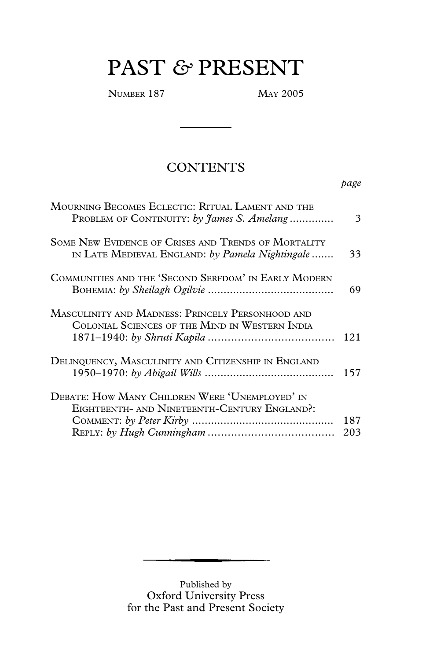# PAST *&* PRESENT

NUMBER 187 MAY 2005

# **CONTENTS**

*page*

| MOURNING BECOMES ECLECTIC: RITUAL LAMENT AND THE<br>PROBLEM OF CONTINUITY: by James S. Amelang         | 3          |
|--------------------------------------------------------------------------------------------------------|------------|
| SOME NEW EVIDENCE OF CRISES AND TRENDS OF MORTALITY<br>IN LATE MEDIEVAL ENGLAND: by Pamela Nightingale | 33         |
| COMMUNITIES AND THE 'SECOND SERFDOM' IN EARLY MODERN                                                   | 69         |
| MASCULINITY AND MADNESS: PRINCELY PERSONHOOD AND<br>COLONIAL SCIENCES OF THE MIND IN WESTERN INDIA     | 121        |
| DELINQUENCY, MASCULINITY AND CITIZENSHIP IN ENGLAND                                                    | 157        |
| DEBATE: HOW MANY CHILDREN WERE 'UNEMPLOYED' IN<br>EIGHTEENTH- AND NINETEENTH-CENTURY ENGLAND?:         | 187<br>203 |

Published by Oxford University Press for the Past and Present Society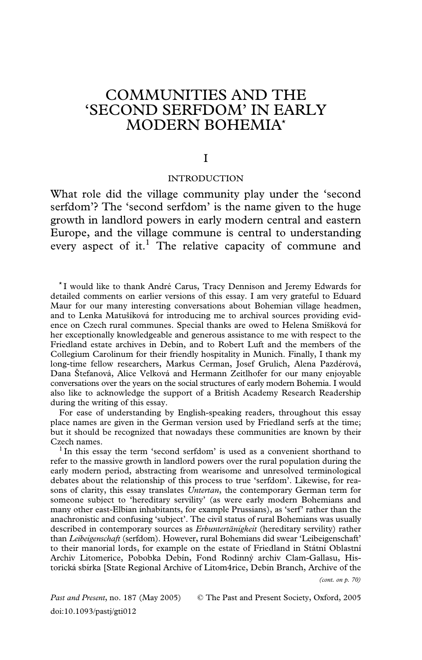# COMMUNITIES AND THE 'SECOND SERFDOM' IN EARLY MODERN BOHEMIA\*

I

# INTRODUCTION

What role did the village community play under the 'second serfdom'? The 'second serfdom' is the name given to the huge growth in landlord powers in early modern central and eastern Europe, and the village commune is central to understanding every aspect of it.<sup>1</sup> The relative capacity of commune and

<sup>\*</sup>I would like to thank André Carus, Tracy Dennison and Jeremy Edwards for detailed comments on earlier versions of this essay. I am very grateful to Eduard Maur for our many interesting conversations about Bohemian village headmen, and to Lenka Matušíková for introducing me to archival sources providing evidence on Czech rural communes. Special thanks are owed to Helena Smíšková for her exceptionally knowledgeable and generous assistance to me with respect to the Friedland estate archives in Debín, and to Robert Luft and the members of the Collegium Carolinum for their friendly hospitality in Munich. Finally, I thank my long-time fellow researchers, Markus Cerman, Josef Grulich, Alena Pazdérová, Dana Štefanová, Alice Velková and Hermann Zeitlhofer for our many enjoyable conversations over the years on the social structures of early modern Bohemia. I would also like to acknowledge the support of a British Academy Research Readership during the writing of this essay.

For ease of understanding by English-speaking readers, throughout this essay place names are given in the German version used by Friedland serfs at the time; but it should be recognized that nowadays these communities are known by their Czech names.<br><sup>1</sup> In this essay the term 'second serfdom' is used as a convenient shorthand to

refer to the massive growth in landlord powers over the rural population during the early modern period, abstracting from wearisome and unresolved terminological debates about the relationship of this process to true 'serfdom'. Likewise, for reasons of clarity, this essay translates *Untertan*, the contemporary German term for someone subject to 'hereditary servility' (as were early modern Bohemians and many other east-Elbian inhabitants, for example Prussians), as 'serf' rather than the anachronistic and confusing 'subject'. The civil status of rural Bohemians was usually described in contemporary sources as *Erbuntertänigkeit* (hereditary servility) rather than *Leibeigenschaft* (serfdom). However, rural Bohemians did swear 'Leibeigenschaft' to their manorial lords, for example on the estate of Friedland in Státní Oblastní Archiv Litomerice, Pobobka Debín, Fond Rodinný archiv Clam-Gallasu, Historická sbírka [State Regional Archive of Litom4rice, Debín Branch, Archive of the

*(cont. on p. 70)*

*Past and Present*, no. 187 (May 2005) © The Past and Present Society, Oxford, 2005 doi:10.1093/pastj/gti012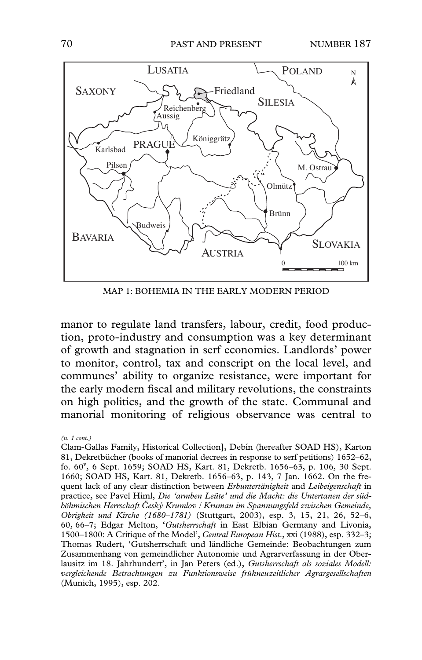

MAP 1: BOHEMIA IN THE EARLY MODERN PERIOD

manor to regulate land transfers, labour, credit, food production, proto-industry and consumption was a key determinant of growth and stagnation in serf economies. Landlords' power to monitor, control, tax and conscript on the local level, and communes' ability to organize resistance, were important for the early modern fiscal and military revolutions, the constraints on high politics, and the growth of the state. Communal and manorial monitoring of religious observance was central to

*(n. 1 cont.)*

Clam-Gallas Family, Historical Collection], Debín (hereafter SOAD HS), Karton 81, Dekretbücher (books of manorial decrees in response to serf petitions) 1652–62, fo. 60<sup>v</sup> , 6 Sept. 1659; SOAD HS, Kart. 81, Dekretb. 1656–63, p. 106, 30 Sept. 1660; SOAD HS, Kart. 81, Dekretb. 1656–63, p. 143, 7 Jan. 1662. On the frequent lack of any clear distinction between *Erbuntertänigkeit* and *Leibeigenschaft* in practice, see Pavel Himl, *Die 'armben Leüte' und die Macht: die Untertanen der südböhmischen Herrschaft Ceský Krumlov / Krumau im Spannungsfeld zwischen Gemeinde, Obrigkeit und Kirche (1680–1781)* (Stuttgart, 2003), esp. 3, 15, 21, 26, 52–6, 60, 66–7; Edgar Melton, '*Gutsherrschaft* in East Elbian Germany and Livonia, 1500–1800: A Critique of the Model', *Central European Hist*., xxi (1988), esp. 332–3; Thomas Rudert, 'Gutsherrschaft und ländliche Gemeinde: Beobachtungen zum Zusammenhang von gemeindlicher Autonomie und Agrarverfassung in der Oberlausitz im 18. Jahrhundert', in Jan Peters (ed.), *Gutsherrschaft als soziales Modell: vergleichende Betrachtungen zu Funktionsweise frühneuzeitlicher Agrargesellschaften* (Munich, 1995), esp. 202.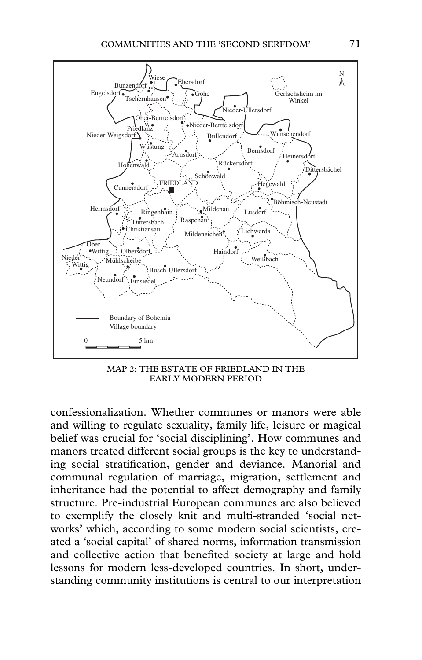

MAP 2: THE ESTATE OF FRIEDLAND IN THE EARLY MODERN PERIOD

confessionalization. Whether communes or manors were able and willing to regulate sexuality, family life, leisure or magical belief was crucial for 'social disciplining'. How communes and manors treated different social groups is the key to understanding social stratification, gender and deviance. Manorial and communal regulation of marriage, migration, settlement and inheritance had the potential to affect demography and family structure. Pre-industrial European communes are also believed to exemplify the closely knit and multi-stranded 'social networks' which, according to some modern social scientists, created a 'social capital' of shared norms, information transmission and collective action that benefited society at large and hold lessons for modern less-developed countries. In short, understanding community institutions is central to our interpretation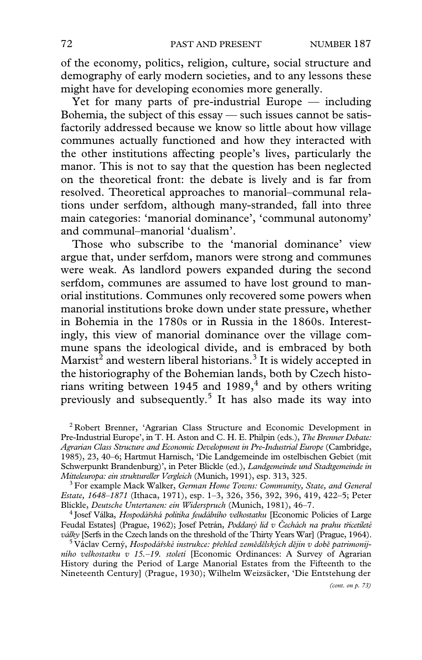of the economy, politics, religion, culture, social structure and demography of early modern societies, and to any lessons these might have for developing economies more generally.

Yet for many parts of pre-industrial Europe — including Bohemia, the subject of this essay — such issues cannot be satisfactorily addressed because we know so little about how village communes actually functioned and how they interacted with the other institutions affecting people's lives, particularly the manor. This is not to say that the question has been neglected on the theoretical front: the debate is lively and is far from resolved. Theoretical approaches to manorial–communal relations under serfdom, although many-stranded, fall into three main categories: 'manorial dominance', 'communal autonomy' and communal–manorial 'dualism'.

Those who subscribe to the 'manorial dominance' view argue that, under serfdom, manors were strong and communes were weak. As landlord powers expanded during the second serfdom, communes are assumed to have lost ground to manorial institutions. Communes only recovered some powers when manorial institutions broke down under state pressure, whether in Bohemia in the 1780s or in Russia in the 1860s. Interestingly, this view of manorial dominance over the village commune spans the ideological divide, and is embraced by both  $\rm{Marxist}^{\bar{2}}$  and western liberal historians. $^3$  It is widely accepted in the historiography of the Bohemian lands, both by Czech historians writing between 1945 and 1989, $4$  and by others writing previously and subsequently.<sup>5</sup> It has also made its way into

<sup>2</sup> Robert Brenner, 'Agrarian Class Structure and Economic Development in Pre-Industrial Europe', in T. H. Aston and C. H. E. Philpin (eds.), *The Brenner Debate: Agrarian Class Structure and Economic Development in Pre-Industrial Europe* (Cambridge, 1985), 23, 40–6; Hartmut Harnisch, 'Die Landgemeinde im ostelbischen Gebiet (mit Schwerpunkt Brandenburg)', in Peter Blickle (ed.), *Landgemeinde und Stadtgemeinde in*

<sup>3</sup> For example Mack Walker, *German Home Towns: Community, State, and General Estate, 1648–1871* (Ithaca, 1971), esp. 1–3, 326, 356, 392, 396, 419, 422–5; Peter

<sup>4</sup> Josef Válka, *Hospodářská politika feudálního velkostatku* [Economic Policies of Large Feudal Estates] (Prague, 1962); Josef Petrán, *Poddaný lid v Cechách na prahu tricetileté* války [Serfs in the Czech lands on the threshold of the Thirty Years War] (Prague, 1964).<br><sup>5</sup> Václav Cerný, *Hospodářské instrukce: přehled zemědělských dějin v době patrimonij-*

*ního velkostatku v 15.–19. století* [Economic Ordinances: A Survey of Agrarian History during the Period of Large Manorial Estates from the Fifteenth to the Nineteenth Century] (Prague, 1930); Wilhelm Weizsäcker, 'Die Entstehung der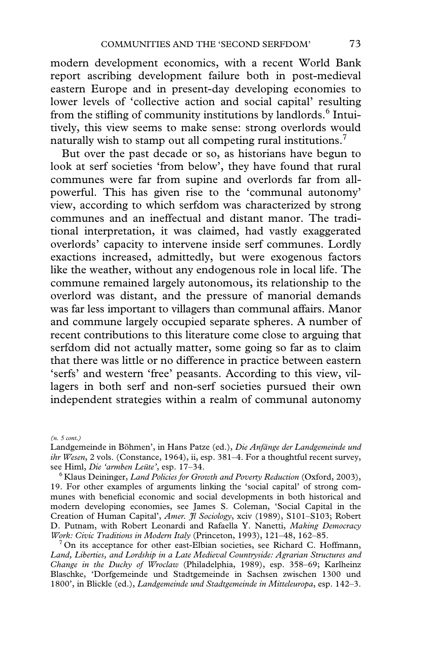modern development economics, with a recent World Bank report ascribing development failure both in post-medieval eastern Europe and in present-day developing economies to lower levels of 'collective action and social capital' resulting from the stifling of community institutions by landlords.<sup>6</sup> Intuitively, this view seems to make sense: strong overlords would naturally wish to stamp out all competing rural institutions.<sup>7</sup>

But over the past decade or so, as historians have begun to look at serf societies 'from below', they have found that rural communes were far from supine and overlords far from allpowerful. This has given rise to the 'communal autonomy' view, according to which serfdom was characterized by strong communes and an ineffectual and distant manor. The traditional interpretation, it was claimed, had vastly exaggerated overlords' capacity to intervene inside serf communes. Lordly exactions increased, admittedly, but were exogenous factors like the weather, without any endogenous role in local life. The commune remained largely autonomous, its relationship to the overlord was distant, and the pressure of manorial demands was far less important to villagers than communal affairs. Manor and commune largely occupied separate spheres. A number of recent contributions to this literature come close to arguing that serfdom did not actually matter, some going so far as to claim that there was little or no difference in practice between eastern 'serfs' and western 'free' peasants. According to this view, villagers in both serf and non-serf societies pursued their own independent strategies within a realm of communal autonomy

*(n. 5 cont.)*

<sup>7</sup> On its acceptance for other east-Elbian societies, see Richard C. Hoffmann, *Land, Liberties, and Lordship in a Late Medieval Countryside: Agrarian Structures and Change in the Duchy of Wroclaw* (Philadelphia, 1989), esp. 358–69; Karlheinz Blaschke, 'Dorfgemeinde und Stadtgemeinde in Sachsen zwischen 1300 und 1800', in Blickle (ed.), *Landgemeinde und Stadtgemeinde in Mitteleuropa*, esp. 142–3.

Landgemeinde in Böhmen', in Hans Patze (ed.), *Die Anfänge der Landgemeinde und ihr Wesen*, 2 vols. (Constance, 1964), ii, esp. 381–4. For a thoughtful recent survey, see Himl, *Die 'armben Leüte'*, esp. 17–34.

<sup>6</sup> Klaus Deininger, *Land Policies for Growth and Poverty Reduction* (Oxford, 2003), 19. For other examples of arguments linking the 'social capital' of strong communes with beneficial economic and social developments in both historical and modern developing economies, see James S. Coleman, 'Social Capital in the Creation of Human Capital', *Amer. Jl Sociology*, xciv (1989), S101–S103; Robert D. Putnam, with Robert Leonardi and Rafaella Y. Nanetti, *Making Democracy*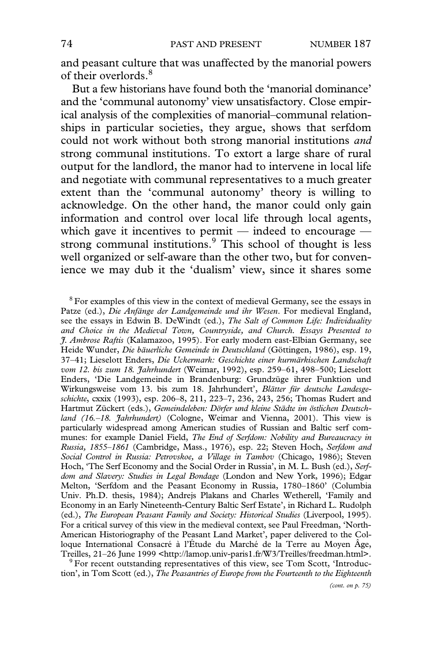and peasant culture that was unaffected by the manorial powers of their overlords.<sup>8</sup>

But a few historians have found both the 'manorial dominance' and the 'communal autonomy' view unsatisfactory. Close empirical analysis of the complexities of manorial–communal relationships in particular societies, they argue, shows that serfdom could not work without both strong manorial institutions *and* strong communal institutions. To extort a large share of rural output for the landlord, the manor had to intervene in local life and negotiate with communal representatives to a much greater extent than the 'communal autonomy' theory is willing to acknowledge. On the other hand, the manor could only gain information and control over local life through local agents, which gave it incentives to permit — indeed to encourage strong communal institutions.<sup>9</sup> This school of thought is less well organized or self-aware than the other two, but for convenience we may dub it the 'dualism' view, since it shares some

<sup>8</sup> For examples of this view in the context of medieval Germany, see the essays in Patze (ed.), *Die Anfänge der Landgemeinde und ihr Wesen*. For medieval England, see the essays in Edwin B. DeWindt (ed.), *The Salt of Common Life: Individuality and Choice in the Medieval Town, Countryside, and Church. Essays Presented to J. Ambrose Raftis* (Kalamazoo, 1995). For early modern east-Elbian Germany, see Heide Wunder, *Die bäuerliche Gemeinde in Deutschland* (Göttingen, 1986), esp. 19, 37–41; Lieselott Enders, *Die Uckermark: Geschichte einer kurmärkischen Landschaft vom 12. bis zum 18. Jahrhundert* (Weimar, 1992), esp. 259–61, 498–500; Lieselott Enders, 'Die Landgemeinde in Brandenburg: Grundzüge ihrer Funktion und Wirkungsweise vom 13. bis zum 18. Jahrhundert', *Blätter für deutsche Landesgeschichte*, cxxix (1993), esp. 206–8, 211, 223–7, 236, 243, 256; Thomas Rudert and Hartmut Zückert (eds.), *Gemeindeleben: Dörfer und kleine Städte im östlichen Deutschland (16.–18. Jahrhundert)* (Cologne, Weimar and Vienna, 2001). This view is particularly widespread among American studies of Russian and Baltic serf communes: for example Daniel Field, *The End of Serfdom: Nobility and Bureaucracy in Russia, 1855–1861* (Cambridge, Mass., 1976), esp. 22; Steven Hoch, *Serfdom and Social Control in Russia: Petrovskoe, a Village in Tambov* (Chicago, 1986); Steven Hoch, 'The Serf Economy and the Social Order in Russia', in M. L. Bush (ed.), *Serfdom and Slavery: Studies in Legal Bondage* (London and New York, 1996); Edgar Melton, 'Serfdom and the Peasant Economy in Russia, 1780–1860' (Columbia Univ. Ph.D. thesis, 1984); Andrejs Plakans and Charles Wetherell, 'Family and Economy in an Early Nineteenth-Century Baltic Serf Estate', in Richard L. Rudolph (ed.), *The European Peasant Family and Society: Historical Studies* (Liverpool, 1995). For a critical survey of this view in the medieval context, see Paul Freedman, 'North-American Historiography of the Peasant Land Market', paper delivered to the Colloque International Consacré à l'Étude du Marché de la Terre au Moyen Âge, Treilles, 21–26 June 1999 [<http://lamop.univ-paris1.fr/W3/Treilles/freedman.html](http://lamop.univ-paris1.fr/W3/Treilles/freedman.html)>. 9 For recent outstanding representatives of this view, see Tom Scott, 'Introduc-

tion', in Tom Scott (ed.), *The Peasantries of Europe from the Fourteenth to the Eighteenth*

*(cont. on p. 75)*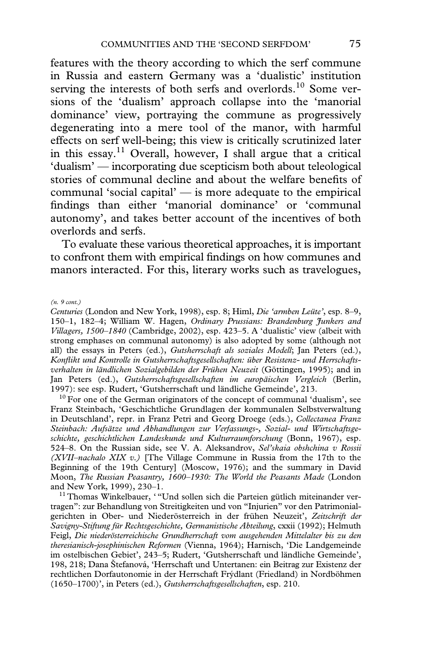features with the theory according to which the serf commune in Russia and eastern Germany was a 'dualistic' institution serving the interests of both serfs and overlords.<sup>10</sup> Some versions of the 'dualism' approach collapse into the 'manorial dominance' view, portraying the commune as progressively degenerating into a mere tool of the manor, with harmful effects on serf well-being; this view is critically scrutinized later in this essay.<sup>11</sup> Overall, however, I shall argue that a critical 'dualism' — incorporating due scepticism both about teleological stories of communal decline and about the welfare benefits of communal 'social capital' — is more adequate to the empirical findings than either 'manorial dominance' or 'communal autonomy', and takes better account of the incentives of both overlords and serfs.

To evaluate these various theoretical approaches, it is important to confront them with empirical findings on how communes and manors interacted. For this, literary works such as travelogues,

*(n. 9 cont.)*

*Centuries* (London and New York, 1998), esp. 8; Himl, *Die 'armben Leüte'*, esp. 8–9, 150–1, 182–4; William W. Hagen, *Ordinary Prussians: Brandenburg Junkers and Villagers, 1500–1840* (Cambridge, 2002), esp. 423–5. A 'dualistic' view (albeit with strong emphases on communal autonomy) is also adopted by some (although not all) the essays in Peters (ed.), *Gutsherrschaft als soziales Modell*; Jan Peters (ed.), *KonXikt und Kontrolle in Gutsherrschaftsgesellschaften: über Resistenz- und Herrschaftsverhalten in ländlichen Sozialgebilden der Frühen Neuzeit* (Göttingen, 1995); and in Jan Peters (ed.), *Gutsherrschaftsgesellschaften im europäischen Vergleich* (Berlin, 1997): see esp. Rudert, 'Gutsherrschaft und ländliche Gemeinde', 213.<br><sup>10</sup> For one of the German originators of the concept of communal 'dualism', see

Franz Steinbach, 'Geschichtliche Grundlagen der kommunalen Selbstverwaltung in Deutschland', repr. in Franz Petri and Georg Droege (eds.), *Collectanea Franz Steinbach: Aufsätze und Abhandlungen zur Verfassungs-, Sozial- und Wirtschaftsgeschichte, geschichtlichen Landeskunde und Kulturraumforschung* (Bonn, 1967), esp. 524–8. On the Russian side, see V. A. Aleksandrov, *Sel'skaia obshchina v Rossii (XVII–nachalo XIX v.)* [The Village Commune in Russia from the 17th to the Beginning of the 19th Century] (Moscow, 1976); and the summary in David Moon, *The Russian Peasantry, 1600–1930: The World the Peasants Made* (London

<sup>11</sup> Thomas Winkelbauer, ' "Und sollen sich die Parteien gütlich miteinander vertragen": zur Behandlung von Streitigkeiten und von "Injurien" vor den Patrimonialgerichten in Ober- und Niederösterreich in der frühen Neuzeit', *Zeitschrift der Savigny-Stiftung für Rechtsgeschichte, Germanistische Abteilung*, cxxii (1992); Helmuth Feigl, *Die niederösterreichische Grundherrschaft vom ausgehenden Mittelalter bis zu den theresianisch-josephinischen Reformen* (Vienna, 1964); Harnisch, 'Die Landgemeinde im ostelbischen Gebiet', 243–5; Rudert, 'Gutsherrschaft und ländliche Gemeinde', 198, 218; Dana Štefanová, 'Herrschaft und Untertanen: ein Beitrag zur Existenz der rechtlichen Dorfautonomie in der Herrschaft Frýdlant (Friedland) in Nordböhmen (1650–1700)', in Peters (ed.), *Gutsherrschaftsgesellschaften*, esp. 210.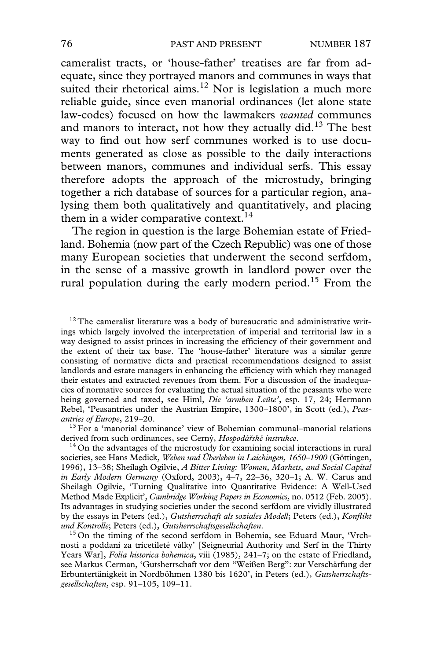cameralist tracts, or 'house-father' treatises are far from adequate, since they portrayed manors and communes in ways that suited their rhetorical aims.<sup>12</sup> Nor is legislation a much more reliable guide, since even manorial ordinances (let alone state law-codes) focused on how the lawmakers *wanted* communes and manors to interact, not how they actually did.<sup>13</sup> The best way to find out how serf communes worked is to use documents generated as close as possible to the daily interactions between manors, communes and individual serfs. This essay therefore adopts the approach of the microstudy, bringing together a rich database of sources for a particular region, analysing them both qualitatively and quantitatively, and placing them in a wider comparative context.<sup>14</sup>

The region in question is the large Bohemian estate of Friedland. Bohemia (now part of the Czech Republic) was one of those many European societies that underwent the second serfdom, in the sense of a massive growth in landlord power over the rural population during the early modern period.<sup>15</sup> From the

 $12$  The cameralist literature was a body of bureaucratic and administrative writings which largely involved the interpretation of imperial and territorial law in a way designed to assist princes in increasing the efficiency of their government and the extent of their tax base. The 'house-father' literature was a similar genre consisting of normative dicta and practical recommendations designed to assist landlords and estate managers in enhancing the efficiency with which they managed their estates and extracted revenues from them. For a discussion of the inadequacies of normative sources for evaluating the actual situation of the peasants who were being governed and taxed, see Himl, *Die 'armben Leüte'*, esp. 17, 24; Hermann Rebel, 'Peasantries under the Austrian Empire, 1300–1800', in Scott (ed.), *Peasantries of Europe*, 219–20. 13 For a 'manorial dominance' view of Bohemian communal–manorial relations

derived from such ordinances, see Cerný, *Hospodárské instrukce*. 14 On the advantages of the microstudy for examining social interactions in rural

societies, see Hans Medick, *Weben und Überleben in Laichingen, 1650–1900* (Göttingen, 1996), 13–38; Sheilagh Ogilvie, *A Bitter Living: Women, Markets, and Social Capital in Early Modern Germany* (Oxford, 2003), 4–7, 22–36, 320–1; A. W. Carus and Sheilagh Ogilvie, 'Turning Qualitative into Quantitative Evidence: A Well-Used Method Made Explicit', *Cambridge Working Papers in Economics*, no. 0512 (Feb. 2005). Its advantages in studying societies under the second serfdom are vividly illustrated by the essays in Peters (ed.), *Gutsherrschaft als soziales Modell*; Peters (ed.), *Konflikt und Kontrolle*; Peters (ed.), *Gutsherrschaftsgesellschaften*.<br><sup>15</sup> On the timing of the second serfdom in Bohemia, see Eduard Maur, 'Vrch-

nosti a poddaní za tricetileté války' [Seigneurial Authority and Serf in the Thirty Years War], *Folia historica bohemica*, viii (1985), 241–7; on the estate of Friedland, see Markus Cerman, 'Gutsherrschaft vor dem "Weißen Berg": zur Verschärfung der Erbuntertänigkeit in Nordböhmen 1380 bis 1620', in Peters (ed.), *Gutsherrschaftsgesellschaften*, esp. 91–105, 109–11.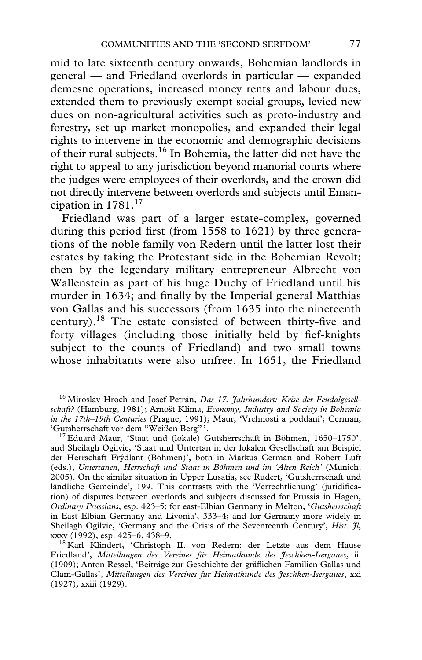mid to late sixteenth century onwards, Bohemian landlords in general — and Friedland overlords in particular — expanded demesne operations, increased money rents and labour dues, extended them to previously exempt social groups, levied new dues on non-agricultural activities such as proto-industry and forestry, set up market monopolies, and expanded their legal rights to intervene in the economic and demographic decisions of their rural subjects.16 In Bohemia, the latter did not have the right to appeal to any jurisdiction beyond manorial courts where the judges were employees of their overlords, and the crown did not directly intervene between overlords and subjects until Emancipation in  $1781$ <sup>17</sup>

Friedland was part of a larger estate-complex, governed during this period first (from  $1558$  to  $1621$ ) by three generations of the noble family von Redern until the latter lost their estates by taking the Protestant side in the Bohemian Revolt; then by the legendary military entrepreneur Albrecht von Wallenstein as part of his huge Duchy of Friedland until his murder in 1634; and finally by the Imperial general Matthias von Gallas and his successors (from 1635 into the nineteenth century).<sup>18</sup> The estate consisted of between thirty-five and forty villages (including those initially held by fief-knights subject to the counts of Friedland) and two small towns whose inhabitants were also unfree. In 1651, the Friedland

<sup>16</sup> Miroslav Hroch and Josef Petrán, *Das 17. Jahrhundert: Krise der Feudalgesellschaft?* (Hamburg, 1981); Arnošt Klíma, *Economy, Industry and Society in Bohemia in the 17th–19th Centuries* (Prague, 1991); Maur, 'Vrchnosti a poddaní'; Cerman,

<sup>17</sup> Eduard Maur, 'Staat und (lokale) Gutsherrschaft in Böhmen, 1650–1750', and Sheilagh Ogilvie, 'Staat und Untertan in der lokalen Gesellschaft am Beispiel der Herrschaft Frýdlant (Böhmen)', both in Markus Cerman and Robert Luft (eds.), *Untertanen, Herrschaft und Staat in Böhmen und im 'Alten Reich'* (Munich, 2005). On the similar situation in Upper Lusatia, see Rudert, 'Gutsherrschaft und ländliche Gemeinde', 199. This contrasts with the 'Verrechtlichung' (juridification) of disputes between overlords and subjects discussed for Prussia in Hagen, *Ordinary Prussians*, esp. 423–5; for east-Elbian Germany in Melton, '*Gutsherrschaft* in East Elbian Germany and Livonia', 333–4; and for Germany more widely in Sheilagh Ogilvie, 'Germany and the Crisis of the Seventeenth Century', *Hist. Jl*, xxxv (1992), esp. 425–6, 438–9.

<sup>18</sup> Karl Klindert, 'Christoph II. von Redern: der Letzte aus dem Hause Friedland', *Mitteilungen des Vereines für Heimatkunde des Jeschken-Isergaues*, iii (1909); Anton Ressel, 'Beiträge zur Geschichte der gräflichen Familien Gallas und Clam-Gallas', *Mitteilungen des Vereines für Heimatkunde des Jeschken-Isergaues*, xxi (1927); xxiii (1929).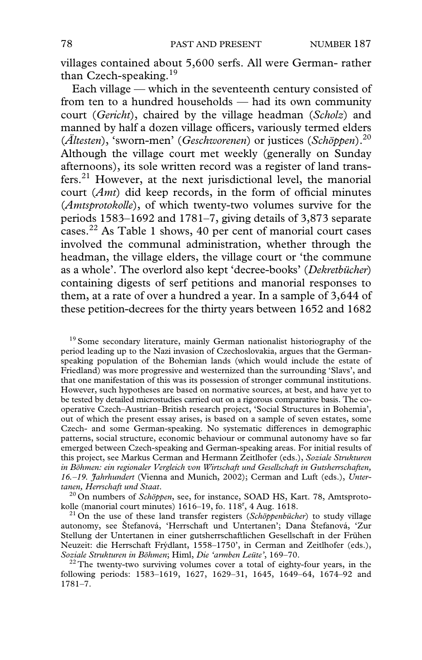villages contained about 5,600 serfs. All were German- rather than Czech-speaking.<sup>19</sup>

Each village — which in the seventeenth century consisted of from ten to a hundred households — had its own community court (*Gericht*), chaired by the village headman (*Scholz*) and manned by half a dozen village officers, variously termed elders (*Ältesten*), 'sworn-men' (*Geschworenen*) or justices (*Schöppen*).20 Although the village court met weekly (generally on Sunday afternoons), its sole written record was a register of land transfers.21 However, at the next jurisdictional level, the manorial court (*Amt*) did keep records, in the form of official minutes (*Amtsprotokolle*), of which twenty-two volumes survive for the periods 1583–1692 and 1781–7, giving details of 3,873 separate cases.22 As Table 1 shows, 40 per cent of manorial court cases involved the communal administration, whether through the headman, the village elders, the village court or 'the commune as a whole'. The overlord also kept 'decree-books' (*Dekretbücher*) containing digests of serf petitions and manorial responses to them, at a rate of over a hundred a year. In a sample of 3,644 of these petition-decrees for the thirty years between 1652 and 1682

<sup>19</sup> Some secondary literature, mainly German nationalist historiography of the period leading up to the Nazi invasion of Czechoslovakia, argues that the Germanspeaking population of the Bohemian lands (which would include the estate of Friedland) was more progressive and westernized than the surrounding 'Slavs', and that one manifestation of this was its possession of stronger communal institutions. However, such hypotheses are based on normative sources, at best, and have yet to be tested by detailed microstudies carried out on a rigorous comparative basis. The cooperative Czech–Austrian–British research project, 'Social Structures in Bohemia', out of which the present essay arises, is based on a sample of seven estates, some Czech- and some German-speaking. No systematic differences in demographic patterns, social structure, economic behaviour or communal autonomy have so far emerged between Czech-speaking and German-speaking areas. For initial results of this project, see Markus Cerman and Hermann Zeitlhofer (eds.), *Soziale Strukturen in Böhmen: ein regionaler Vergleich von Wirtschaft und Gesellschaft in Gutsherrschaften, 16.–19. Jahrhundert* (Vienna and Munich, 2002); Cerman and Luft (eds.), *Unter-*

*tanen, Herrschaft und Staat*. 20 On numbers of *Schöppen*, see, for instance, SOAD HS, Kart. 78, Amtsprotokolle (manorial court minutes)  $1616-19$ , fo.  $118^r$ , 4 Aug. 1618.

 $^{21}$  On the use of these land transfer registers (*Schöppenbücher*) to study village autonomy, see Štefanová, 'Herrschaft und Untertanen'; Dana Štefanová, 'Zur Stellung der Untertanen in einer gutsherrschaftlichen Gesellschaft in der Frühen Neuzeit: die Herrschaft Frýdlant, 1558-1750', in Cerman and Zeitlhofer (eds.), Soziale Strukturen in Böhmen; Himl, Die 'armben Leitte', 169-70.

<sup>22</sup> The twenty-two surviving volumes cover a total of eighty-four years, in the following periods: 1583–1619, 1627, 1629–31, 1645, 1649–64, 1674–92 and 1781–7.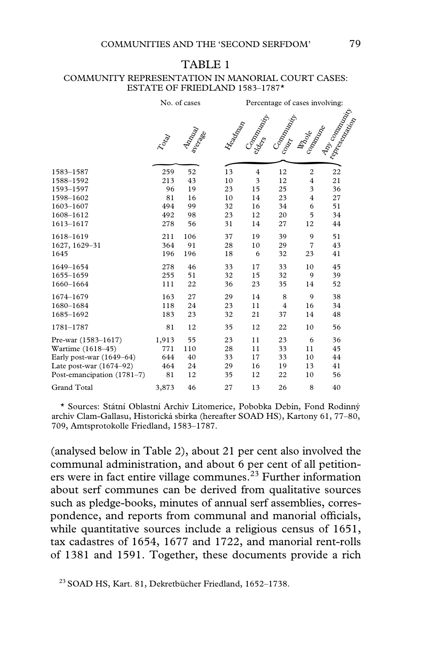# TABLE 1

#### COMMUNITY REPRESENTATION IN MANORIAL COURT CASES: ESTATE OF FRIEDLAND 1583–1787\*

|                            | No. of cases |                |                 | Percentage of cases involving: |                    |                               |                                         |  |
|----------------------------|--------------|----------------|-----------------|--------------------------------|--------------------|-------------------------------|-----------------------------------------|--|
|                            | Tolgy        | <b>Analyza</b> | <b>H</b> eadard | Companying<br>clocks           | Companying<br>Cody | Communication<br><b>Angle</b> | <b>AD</b> COMMUNITY<br>I representation |  |
| 1583-1587                  | 259          | 52             | 13              | $\overline{4}$                 | 12                 | $\overline{c}$                | 22                                      |  |
| 1588-1592                  | 213          | 43             | 10              | 3                              | 12                 | $\overline{4}$                | 21                                      |  |
| 1593-1597                  | 96           | 19             | 23              | 15                             | 25                 | 3                             | 36                                      |  |
| 1598-1602                  | 81           | 16             | 10              | 14                             | 23                 | $\overline{4}$                | 27                                      |  |
| 1603-1607                  | 494          | 99             | 32              | 16                             | 34                 | 6                             | 51                                      |  |
| 1608-1612                  | 492          | 98             | 23              | 12                             | 20                 | 5                             | 34                                      |  |
| 1613-1617                  | 278          | 56             | 31              | 14                             | 27                 | 12                            | 44                                      |  |
| 1618-1619                  | 211          | 106            | 37              | 19                             | 39                 | 9                             | 51                                      |  |
| 1627, 1629-31              | 364          | 91             | 28              | 10                             | 29                 | $\overline{7}$                | 43                                      |  |
| 1645                       | 196          | 196            | 18              | 6                              | 32                 | 23                            | 41                                      |  |
| 1649-1654                  | 278          | 46             | 33              | 17                             | 33                 | 10                            | 45                                      |  |
| 1655-1659                  | 255          | 51             | 32              | 15                             | 32                 | 9                             | 39                                      |  |
| 1660-1664                  | 111          | 22             | 36              | 23                             | 35                 | 14                            | 52                                      |  |
| 1674-1679                  | 163          | 27             | 29              | 14                             | 8                  | 9                             | 38                                      |  |
| 1680-1684                  | 118          | 24             | 23              | 11                             | $\overline{4}$     | 16                            | 34                                      |  |
| 1685-1692                  | 183          | 23             | 32              | 21                             | 37                 | 14                            | 48                                      |  |
| 1781-1787                  | 81           | 12             | 35              | 12                             | 22                 | 10                            | 56                                      |  |
| Pre-war (1583-1617)        | 1,913        | 55             | 23              | 11                             | 23                 | 6                             | 36                                      |  |
| Wartime (1618-45)          | 771          | 110            | 28              | 11                             | 33                 | 11                            | 45                                      |  |
| Early post-war (1649–64)   | 644          | 40             | 33              | 17                             | 33                 | 10                            | 44                                      |  |
| Late post-war $(1674-92)$  | 464          | 24             | 29              | 16                             | 19                 | 13                            | 41                                      |  |
| Post-emancipation (1781-7) | 81           | 12             | 35              | 12                             | 22                 | 10                            | 56                                      |  |
| <b>Grand Total</b>         | 3,873        | 46             | 27              | 13                             | 26                 | 8                             | 40                                      |  |

\* Sources: Státní Oblastní Archiv Litomerice, Pobobka Debín, Fond Rodinný archiv Clam-Gallasu, Historická sbírka (hereafter SOAD HS), Kartony 61, 77–80, 709, Amtsprotokolle Friedland, 1583–1787.

(analysed below in Table 2), about 21 per cent also involved the communal administration, and about 6 per cent of all petitioners were in fact entire village communes.<sup> $23$ </sup> Further information about serf communes can be derived from qualitative sources such as pledge-books, minutes of annual serf assemblies, correspondence, and reports from communal and manorial officials, while quantitative sources include a religious census of 1651, tax cadastres of 1654, 1677 and 1722, and manorial rent-rolls of 1381 and 1591. Together, these documents provide a rich

<sup>23</sup> SOAD HS, Kart. 81, Dekretbücher Friedland, 1652–1738.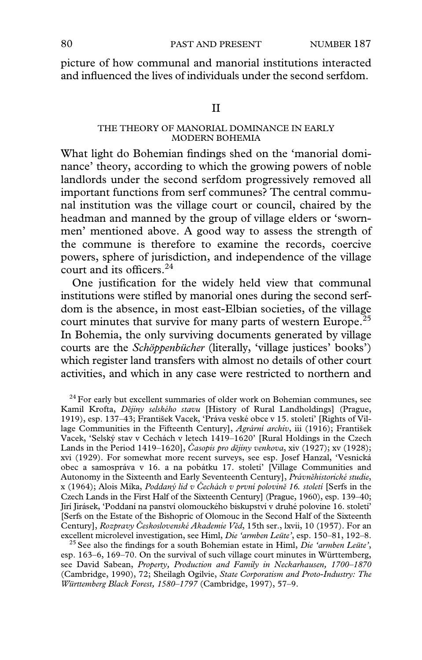picture of how communal and manorial institutions interacted and influenced the lives of individuals under the second serfdom.

II

#### THE THEORY OF MANORIAL DOMINANCE IN EARLY MODERN BOHEMIA

What light do Bohemian findings shed on the 'manorial dominance' theory, according to which the growing powers of noble landlords under the second serfdom progressively removed all important functions from serf communes? The central communal institution was the village court or council, chaired by the headman and manned by the group of village elders or 'swornmen' mentioned above. A good way to assess the strength of the commune is therefore to examine the records, coercive powers, sphere of jurisdiction, and independence of the village court and its officers. $24$ 

One justification for the widely held view that communal institutions were stifled by manorial ones during the second serfdom is the absence, in most east-Elbian societies, of the village court minutes that survive for many parts of western Europe.<sup>25</sup> In Bohemia, the only surviving documents generated by village courts are the *Schöppenbücher* (literally, 'village justices' books') which register land transfers with almost no details of other court activities, and which in any case were restricted to northern and

 $24$  For early but excellent summaries of older work on Bohemian communes, see Kamil Krofta, *Dejiny selského stavu* [History of Rural Landholdings] (Prague, 1919), esp. 137–43; František Vacek, 'Práva veské obce v 15. století' [Rights of Village Communities in the Fifteenth Century], *Agrární archiv*, iii (1916); František Vacek, 'Selský stav v Cechách v letech 1419–1620' [Rural Holdings in the Czech Lands in the Period 1419–1620], *Casopis pro dejiny venkova*, xiv (1927); xv (1928); xvi (1929). For somewhat more recent surveys, see esp. Josef Hanzal, 'Vesnická obec a samospráva v 16. a na pobátku 17. století' [Village Communities and Autonomy in the Sixteenth and Early Seventeenth Century], *Právnehistorické studie*, x (1964); Alois Míka, *Poddaný lid v Cechách v první polovine 16. století* [Serfs in the Czech Lands in the First Half of the Sixteenth Century] (Prague, 1960), esp. 139–40; Jirí Jirásek, 'Poddaní na panství olomouckého biskupství v druhé polovine 16. století' [Serfs on the Estate of the Bishopric of Olomouc in the Second Half of the Sixteenth Century], *Rozpravy Československé Akademie Věd*, 15th ser., lxvii, 10 (1957). For an excellent microlevel investigation, see Himl, *Die 'armben Leüte'*, esp. 150–81, 192–8.

<sup>25</sup> See also the findings for a south Bohemian estate in Himl, *Die 'armben Leüte'*, esp. 163–6, 169–70. On the survival of such village court minutes in Württemberg, see David Sabean, *Property, Production and Family in Neckarhausen, 1700–1870* (Cambridge, 1990), 72; Sheilagh Ogilvie, *State Corporatism and Proto-Industry: The Württemberg Black Forest, 1580–1797* (Cambridge, 1997), 57–9.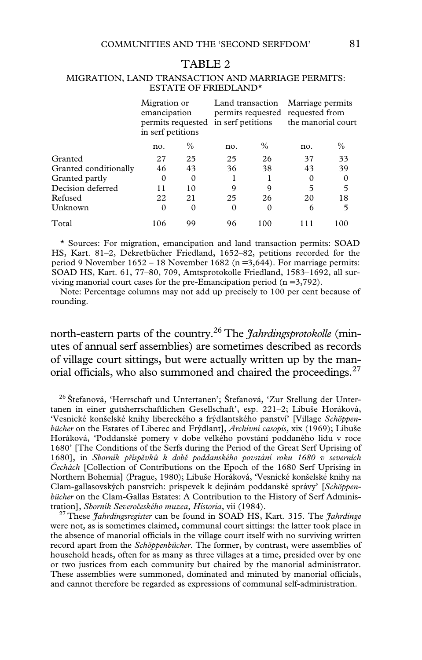#### TABLE 2

#### MIGRATION, LAND TRANSACTION AND MARRIAGE PERMITS: ESTATE OF FRIEDLAND\*

|                       | Migration or<br>emancipation<br>permits requested<br>in serf petitions |               | Land transaction<br>permits requested requested from<br>in serf petitions |               | Marriage permits<br>the manorial court |               |
|-----------------------|------------------------------------------------------------------------|---------------|---------------------------------------------------------------------------|---------------|----------------------------------------|---------------|
|                       | no.                                                                    | $\frac{0}{0}$ | no.                                                                       | $\frac{0}{0}$ | no.                                    | $\frac{0}{0}$ |
| Granted               | 27                                                                     | 25            | 25                                                                        | 26            | 37                                     | 33            |
| Granted conditionally | 46                                                                     | 43            | 36                                                                        | 38            | 43                                     | 39            |
| Granted partly        | 0                                                                      | $\Omega$      |                                                                           |               | 0                                      | 0             |
| Decision deferred     | 11                                                                     | 10            | 9                                                                         | 9             | 5                                      | 5             |
| Refused               | 22                                                                     | 21            | 25                                                                        | 26            | 20                                     | 18            |
| Unknown               | $\Omega$                                                               | $\Omega$      | $\Omega$                                                                  | $\Omega$      | 6                                      | 5             |
| Total                 | 106                                                                    | 99            | 96                                                                        | 100           |                                        | 100           |

\* Sources: For migration, emancipation and land transaction permits: SOAD HS, Kart. 81–2, Dekretbücher Friedland, 1652–82, petitions recorded for the period 9 November 1652 – 18 November 1682 (n = 3,644). For marriage permits: SOAD HS, Kart. 61, 77–80, 709, Amtsprotokolle Friedland, 1583–1692, all surviving manorial court cases for the pre-Emancipation period  $(n=3,792)$ .

Note: Percentage columns may not add up precisely to 100 per cent because of rounding.

north-eastern parts of the country.26 The *Jahrdingsprotokolle* (minutes of annual serf assemblies) are sometimes described as records of village court sittings, but were actually written up by the manorial officials, who also summoned and chaired the proceedings.<sup>27</sup>

<sup>26</sup> Štefanová, 'Herrschaft und Untertanen'; Štefanová, 'Zur Stellung der Untertanen in einer gutsherrschaftlichen Gesellschaft', esp. 221–2; Libuše Horáková, 'Vesnické konšelské knihy libereckého a frýdlantského panství' [Village *Schöppenbücher* on the Estates of Liberec and Frýdlant], *Archivní casopis*, xix (1969); Libuše Horáková, 'Poddanské pomery v dobe velkého povstání poddaného lidu v roce 1680' [The Conditions of the Serfs during the Period of the Great Serf Uprising of 1680], in *Sborník príspevku k dobe poddanského povstání roku 1680 v severních Cechách* [Collection of Contributions on the Epoch of the 1680 Serf Uprising in Northern Bohemia] (Prague, 1980); Libuše Horáková, 'Vesnické konšelské knihy na Clam-gallasovských panstvích: príspevek k dejinám poddanské správy' [*Schöppenbücher* on the Clam-Gallas Estates: A Contribution to the History of Serf Administration], *Sborník Severobeského muzea, Historia*, vii (1984). <sup>27</sup> These *Jahrdingsregister* can be found in SOAD HS, Kart. 315. The *Jahrdinge*

were not, as is sometimes claimed, communal court sittings: the latter took place in the absence of manorial officials in the village court itself with no surviving written record apart from the *Schöppenbücher*. The former, by contrast, were assemblies of household heads, often for as many as three villages at a time, presided over by one or two justices from each community but chaired by the manorial administrator. These assemblies were summoned, dominated and minuted by manorial officials, and cannot therefore be regarded as expressions of communal self-administration.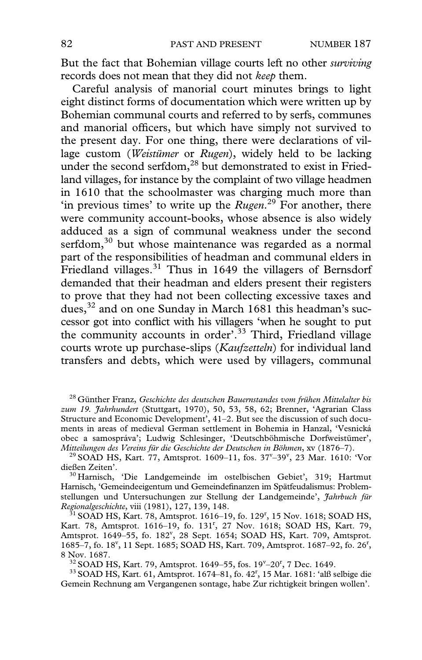But the fact that Bohemian village courts left no other *surviving* records does not mean that they did not *keep* them.

Careful analysis of manorial court minutes brings to light eight distinct forms of documentation which were written up by Bohemian communal courts and referred to by serfs, communes and manorial officers, but which have simply not survived to the present day. For one thing, there were declarations of village custom (*Weistümer* or *Rugen*), widely held to be lacking under the second serfdom,<sup>28</sup> but demonstrated to exist in Friedland villages, for instance by the complaint of two village headmen in 1610 that the schoolmaster was charging much more than 'in previous times' to write up the *Rugen*. 29 For another, there were community account-books, whose absence is also widely adduced as a sign of communal weakness under the second serfdom,<sup>30</sup> but whose maintenance was regarded as a normal part of the responsibilities of headman and communal elders in Friedland villages.<sup>31</sup> Thus in 1649 the villagers of Bernsdorf demanded that their headman and elders present their registers to prove that they had not been collecting excessive taxes and dues,<sup>32</sup> and on one Sunday in March 1681 this headman's successor got into conflict with his villagers 'when he sought to put the community accounts in order'.<sup>33</sup> Third, Friedland village courts wrote up purchase-slips (*Kaufzetteln*) for individual land transfers and debts, which were used by villagers, communal

<sup>28</sup> Günther Franz, *Geschichte des deutschen Bauernstandes vom frühen Mittelalter bis zum 19. Jahrhundert* (Stuttgart, 1970), 50, 53, 58, 62; Brenner, 'Agrarian Class Structure and Economic Development', 41–2. But see the discussion of such documents in areas of medieval German settlement in Bohemia in Hanzal, 'Vesnická obec a samospráva'; Ludwig Schlesinger, 'Deutschböhmische Dorfweistümer', Mitteilungen des Vereins für die Geschichte der Deutschen in Böhmen, xv (1876–7). *Mitteilungen des Vereins für die Geschichte der Deutschen in Böhmen, xv (1876–7).*<br><sup>29</sup> SOAD HS, Kart. 77, Amtsprot. 1609–11, fos. 37<sup>v</sup>–39<sup>v</sup>, 23 Mar. 1610: 'Vor

dießen Zeiten'. 30 Harnisch, 'Die Landgemeinde im ostelbischen Gebiet', 319; Hartmut

Harnisch, 'Gemeindeeigentum und Gemeindefinanzen im Spätfeudalismus: Problemstellungen und Untersuchungen zur Stellung der Landgemeinde', *Jahrbuch für*

*Regionalgeschichte*, viii (1981), 127, 139, 148.<br><sup>31</sup> SOAD HS, Kart. 78, Amtsprot. 1616–19, fo. 129<sup>r</sup>, 15 Nov. 1618; SOAD HS, Kart. 78, Amtsprot. 1616-19, fo. 131<sup>r</sup>, 27 Nov. 1618; SOAD HS, Kart. 79, Amtsprot. 1649-55, fo. 182<sup>v</sup>, 28 Sept. 1654; SOAD HS, Kart. 709, Amtsprot. 1685-7, fo. 18<sup>v</sup>, 11 Sept. 1685; SOAD HS, Kart. 709, Amtsprot. 1687-92, fo. 26<sup>r</sup>,

8 Nov. 1687.<br><sup>32</sup> SOAD HS, Kart. 79, Amtsprot. 1649–55, fos. 19<sup>v</sup>–20<sup>r</sup>

<sup>32</sup> SOAD HS, Kart. 79, Amtsprot. 1649–55, fos. 19<sup>v</sup>–20<sup>r</sup>, 7 Dec. 1649.<br><sup>33</sup> SOAD HS, Kart. 61, Amtsprot. 1674–81, fo. 42<sup>r</sup>, 15 Mar. 1681: 'alß selbige die Gemein Rechnung am Vergangenen sontage, habe Zur richtigkeit bringen wollen'.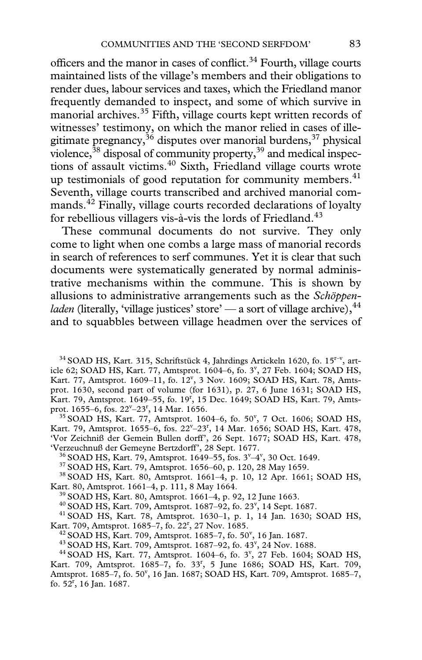officers and the manor in cases of conflict.<sup>34</sup> Fourth, village courts maintained lists of the village's members and their obligations to render dues, labour services and taxes, which the Friedland manor frequently demanded to inspect, and some of which survive in manorial archives.35 Fifth, village courts kept written records of witnesses' testimony, on which the manor relied in cases of illegitimate pregnancy,  $36$  disputes over manorial burdens,  $37$  physical violence, $38$  disposal of community property, $39$  and medical inspections of assault victims.<sup>40</sup> Sixth, Friedland village courts wrote up testimonials of good reputation for community members. $41$ Seventh, village courts transcribed and archived manorial commands.<sup>42</sup> Finally, village courts recorded declarations of loyalty for rebellious villagers vis-à-vis the lords of Friedland.<sup>43</sup>

These communal documents do not survive. They only come to light when one combs a large mass of manorial records in search of references to serf communes. Yet it is clear that such documents were systematically generated by normal administrative mechanisms within the commune. This is shown by allusions to administrative arrangements such as the *Schöppenladen* (literally, 'village justices' store' — a sort of village archive),  $44$ and to squabbles between village headmen over the services of

 $34$  SOAD HS, Kart. 315, Schriftstück 4, Jahrdings Artickeln 1620, fo. 15<sup>r-v</sup>, article 62; SOAD HS, Kart. 77, Amtsprot. 1604–6, fo. 3<sup>v</sup>, 27 Feb. 1604; SOAD HS, Kart. 77, Amtsprot. 1609-11, fo. 12<sup>v</sup>, 3 Nov. 1609; SOAD HS, Kart. 78, Amtsprot. 1630, second part of volume (for 1631), p. 27, 6 June 1631; SOAD HS, Kart. 79, Amtsprot. 1649-55, fo. 19<sup>r</sup>, 15 Dec. 1649; SOAD HS, Kart. 79, Amtsprot. 1655–6, fos.  $22^{\nu} - 23^{\nu}$ 

ot. 1655–6, fos. 22<sup>y</sup>–23<sup>r</sup>, 14 Mar. 1656.<br><sup>35</sup> SOAD HS, Kart. 77, Amtsprot. 1604–6, fo. 50<sup>v</sup>, 7 Oct. 1606; SOAD HS, Kart. 79, Amtsprot. 1655-6, fos. 22<sup>v</sup>-23<sup>r</sup>, 14 Mar. 1656; SOAD HS, Kart. 478, 'Vor Zeichniß der Gemein Bullen dorff', 26 Sept. 1677; SOAD HS, Kart. 478,

'Verzeuchnuß der Gemeyne Bertzdorff', 28 Sept. 1677.<br><sup>36</sup> SOAD HS, Kart. 79, Amtsprot. 1649–55, fos. 3<sup>v</sup>–4<sup>v</sup>

<sup>37</sup> SOAD HS, Kart. 79, Amtsprot. 1656–60, p. 120, 28 May 1659. 38 SOAD HS, 38 SOAD HS, Kart. 80, Amtsprot. 1661–4, p. 10, 12 Apr. 1661; SOAD HS, Kart. 80, Amtsprot. 1661–4, p. 111, 8 May 1664.<br><sup>39</sup> SOAD HS, Kart. 80, Amtsprot. 1661–4, p. 92, 12 June 1663.<br><sup>40</sup> SOAD HS, Kart. 709, Amtsprot. 1687–92, fo. 23<sup>v</sup>, 14 Sept. 1687.

<sup>41</sup> SOAD HS, Kart. 78, Amtsprot. 1630-1, p. 1, 14 Jan. 1630; SOAD HS, Kart. 709, Amtsprot. 1685-7, fo. 22<sup>r</sup>, 27 Nov. 1685.

 $42$  SOAD HS, Kart. 709, Amtsprot. 1685–7, fo. 50<sup>v</sup>, 16 Jan. 1687.

<sup>43</sup> SOAD HS, Kart. 709, Amtsprot. 1687-92, fo. 43<sup>v</sup>, 24 Nov. 1688. <sup>43</sup> SOAD HS, Kart. 709, Amtsprot. 1687–92, fo. 43<sup>v</sup>, 24 Nov. 1688.<br><sup>44</sup> SOAD HS, Kart. 77, Amtsprot. 1604–6, fo. 3<sup>v</sup>, 27 Feb. 1604; SOAD HS,

Kart. 709, Amtsprot. 1685-7, fo. 33<sup>r</sup>, 5 June 1686; SOAD HS, Kart. 709, Amtsprot. 1685-7, fo. 50', 16 Jan. 1687; SOAD HS, Kart. 709, Amtsprot. 1685-7, fo.  $52^r$ , 16 Jan. 1687.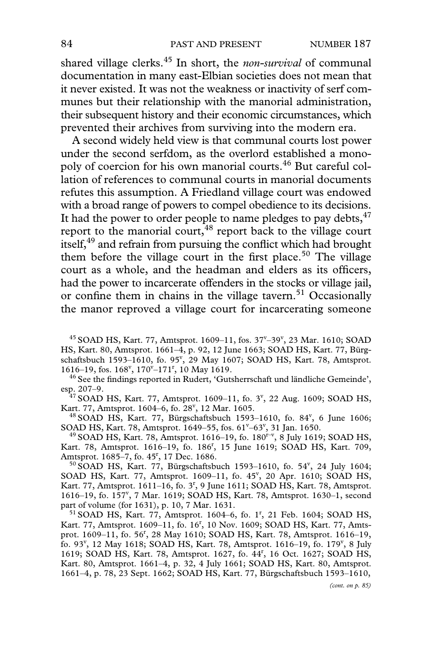shared village clerks.45 In short, the *non-survival* of communal documentation in many east-Elbian societies does not mean that it never existed. It was not the weakness or inactivity of serf communes but their relationship with the manorial administration, their subsequent history and their economic circumstances, which prevented their archives from surviving into the modern era.

A second widely held view is that communal courts lost power under the second serfdom, as the overlord established a monopoly of coercion for his own manorial courts.46 But careful collation of references to communal courts in manorial documents refutes this assumption. A Friedland village court was endowed with a broad range of powers to compel obedience to its decisions. It had the power to order people to name pledges to pay debts,  $47$ report to the manorial court, $48$  report back to the village court itself,<sup>49</sup> and refrain from pursuing the conflict which had brought them before the village court in the first place.<sup>50</sup> The village court as a whole, and the headman and elders as its officers, had the power to incarcerate offenders in the stocks or village jail, or confine them in chains in the village tavern.<sup>51</sup> Occasionally the manor reproved a village court for incarcerating someone

 $^{45}$  SOAD HS, Kart. 77, Amtsprot. 1609–11, fos. 37<sup>v</sup>–39<sup>v</sup>, 23 Mar. 1610; SOAD HS, Kart. 80, Amtsprot. 1661–4, p. 92, 12 June 1663; SOAD HS, Kart. 77, Bürgschaftsbuch 1593-1610, fo. 95<sup>v</sup>, 29 May 1607; SOAD HS, Kart. 78, Amtsprot. 1616–19, fos.  $168^{\nu}$ ,  $170^{\nu}$ –171<sup>r</sup>

<sup>46</sup> See the findings reported in Rudert, 'Gutsherrschaft und ländliche Gemeinde', esp. 207–9.<br><sup>47</sup> SOAD HS, Kart. 77, Amtsprot. 1609–11, fo. 3<sup>v</sup>, 22 Aug. 1609; SOAD HS,

Kart. 77, Amtsprot. 1604-6, fo. 28<sup>v</sup>, 12 Mar. 1605.

art. 77, Amtsprot. 1604–6, fo. 28<sup>v</sup>, 12 Mar. 1605.<br><sup>48</sup> SOAD HS, Kart. 77, Bürgschaftsbuch 1593–1610, fo. 84<sup>v</sup>, 6 June 1606; SOAD HS, Kart. 78, Amtsprot. 1649-55, fos.  $61^\circ$ -63 $^\circ$ 

<sup>49</sup> SOAD HS, Kart. 78, Amtsprot. 1616–19, fo. 180<sup>r–v</sup>, 8 July 1619; SOAD HS, Kart. 78, Amtsprot. 1616-19, fo. 186<sup>r</sup>, 15 June 1619; SOAD HS, Kart. 709, Amtsprot. 1685-7, fo. 45<sup>r</sup>, 17 Dec. 1686.

ntsprot. 1685–7, fo. 45<sup>r</sup>, 17 Dec. 1686.<br><sup>50</sup> SOAD HS, Kart. 77, Bürgschaftsbuch 1593–1610, fo. 54<sup>v</sup>, 24 July 1604; SOAD HS, Kart. 77, Amtsprot. 1609-11, fo. 45<sup>v</sup>, 20 Apr. 1610; SOAD HS, Kart. 77, Amtsprot. 1611–16, fo. 3<sup>r</sup>, 9 June 1611; SOAD HS, Kart. 78, Amtsprot. 1616-19, fo. 157<sup>v</sup>, 7 Mar. 1619; SOAD HS, Kart. 78, Amtsprot. 1630-1, second

part of volume (for 1631), p. 10, 7 Mar. 1631.<br><sup>51</sup> SOAD HS, Kart. 77, Amtsprot. 1604–6, fo. 1<sup>r</sup>, 21 Feb. 1604; SOAD HS, Kart. 77, Amtsprot. 1609-11, fo. 16<sup>r</sup>, 10 Nov. 1609; SOAD HS, Kart. 77, Amtsprot. 1609–11, fo. 56<sup>r</sup>, 28 May 1610; SOAD HS, Kart. 78, Amtsprot. 1616–19, fo. 93<sup>v</sup>, 12 May 1618; SOAD HS, Kart. 78, Amtsprot. 1616-19, fo. 179<sup>v</sup>, 8 July 1619; SOAD HS, Kart. 78, Amtsprot. 1627, fo. 44<sup>r</sup>, 16 Oct. 1627; SOAD HS, Kart. 80, Amtsprot. 1661–4, p. 32, 4 July 1661; SOAD HS, Kart. 80, Amtsprot. 1661–4, p. 78, 23 Sept. 1662; SOAD HS, Kart. 77, Bürgschaftsbuch 1593–1610,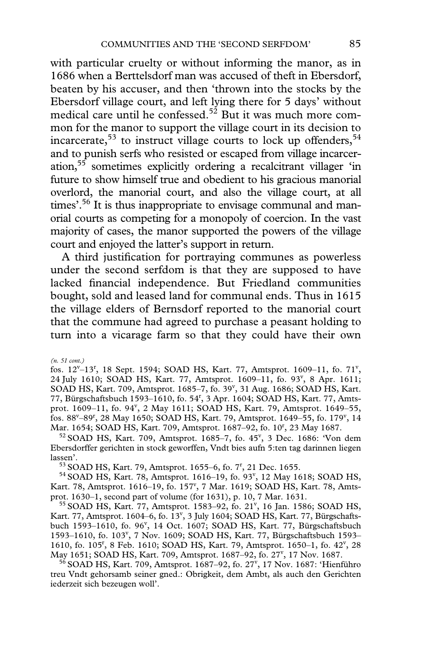with particular cruelty or without informing the manor, as in 1686 when a Berttelsdorf man was accused of theft in Ebersdorf, beaten by his accuser, and then 'thrown into the stocks by the Ebersdorf village court, and left lying there for 5 days' without medical care until he confessed.<sup>52</sup> But it was much more common for the manor to support the village court in its decision to incarcerate,<sup>53</sup> to instruct village courts to lock up offenders,<sup>54</sup> and to punish serfs who resisted or escaped from village incarceration,55 sometimes explicitly ordering a recalcitrant villager 'in future to show himself true and obedient to his gracious manorial overlord, the manorial court, and also the village court, at all times'.<sup>56</sup> It is thus inappropriate to envisage communal and manorial courts as competing for a monopoly of coercion. In the vast majority of cases, the manor supported the powers of the village court and enjoyed the latter's support in return.

A third justification for portraying communes as powerless under the second serfdom is that they are supposed to have lacked financial independence. But Friedland communities bought, sold and leased land for communal ends. Thus in 1615 the village elders of Bernsdorf reported to the manorial court that the commune had agreed to purchase a peasant holding to turn into a vicarage farm so that they could have their own

*(n. 51 cont.)*

fos. 12<sup>v</sup>-13<sup>r</sup>, 18 Sept. 1594; SOAD HS, Kart. 77, Amtsprot. 1609-11, fo. 71<sup>v</sup>, 24 July 1610; SOAD HS, Kart. 77, Amtsprot. 1609-11, fo. 93<sup>v</sup>, 8 Apr. 1611; SOAD HS, Kart. 709, Amtsprot. 1685-7, fo. 39", 31 Aug. 1686; SOAD HS, Kart. 77, Bürgschaftsbuch 1593–1610, fo. 54r , 3 Apr. 1604; SOAD HS, Kart. 77, Amtsprot. 1609-11, fo. 94<sup>v</sup>, 2 May 1611; SOAD HS, Kart. 79, Amtsprot. 1649-55, fos. 88<sup>v</sup>-89<sup>r</sup>, 28 May 1650; SOAD HS, Kart. 79, Amtsprot. 1649-55, fo. 179<sup>v</sup>, 14 Mar. 1654; SOAD HS, Kart. 709, Amtsprot. 1687-92, fo. 10<sup>r</sup>, 23 May 1687. ar. 1654; SOAD HS, Kart. 709, Amtsprot. 1687–92, fo. 10<sup>r</sup>, 23 May 1687.<br><sup>52</sup> SOAD HS, Kart. 709, Amtsprot. 1685–7, fo. 45<sup>v</sup>, 3 Dec. 1686: 'Von dem

Ebersdorffer gerichten in stock geworffen, Vndt bies aufn 5:ten tag darinnen liegen lassen'.<br><sup>53</sup> SOAD HS, Kart. 79, Amtsprot. 1655–6, fo. 7<sup>r</sup>, 21 Dec. 1655.

<sup>33</sup> SOAD HS, Kart. 79, Amtsprot. 1655–6, fo. 7<sup>r</sup>, 21 Dec. 1655.<br><sup>54</sup> SOAD HS, Kart. 78, Amtsprot. 1616–19, fo. 93<sup>v</sup>, 12 May 1618; SOAD HS, Kart. 78, Amtsprot. 1616-19, fo. 157<sup>v</sup>, 7 Mar. 1619; SOAD HS, Kart. 78, Amts-

prot. 1630–1, second part of volume (for 1631), p. 10, 7 Mar. 1631.<br><sup>55</sup> SOAD HS, Kart. 77, Amtsprot. 1583–92, fo. 21<sup>v</sup>, 16 Jan. 1586; SOAD HS, Kart. 77, Amtsprot. 1604-6, fo. 13<sup>v</sup>, 3 July 1604; SOAD HS, Kart. 77, Bürgschaftsbuch 1593-1610, fo. 96<sup>v</sup>, 14 Oct. 1607; SOAD HS, Kart. 77, Bürgschaftsbuch 1593-1610, fo. 103<sup>v</sup>, 7 Nov. 1609; SOAD HS, Kart. 77, Bürgschaftsbuch 1593-1610, fo. 105<sup>r</sup>, 8 Feb. 1610; SOAD HS, Kart. 79, Amtsprot. 1650-1, fo. 42<sup>v</sup>, 28 May 1651; SOAD HS, Kart. 709, Amtsprot. 1687-92, fo. 27<sup>v</sup>, 17 Nov. 1687.

ay 1651; SOAD HS, Kart. 709, Amtsprot. 1687–92, fo. 27<sup>v</sup>, 17 Nov. 1687.<br><sup>56</sup> SOAD HS, Kart. 709, Amtsprot. 1687–92, fo. 27<sup>v</sup>, 17 Nov. 1687: 'Hienführo treu Vndt gehorsamb seiner gned.: Obrigkeit, dem Ambt, als auch den Gerichten iederzeit sich bezeugen woll'.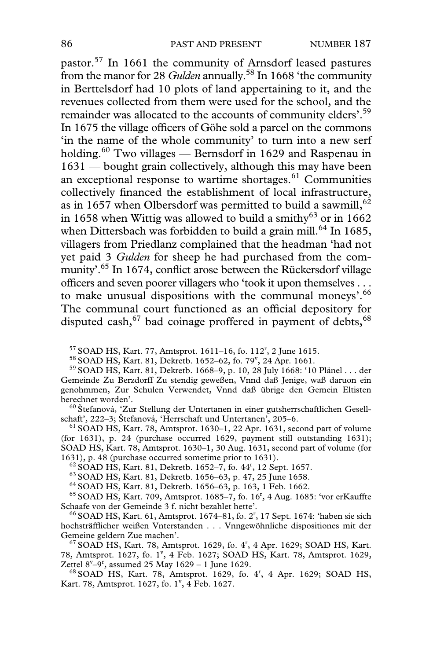pastor.57 In 1661 the community of Arnsdorf leased pastures from the manor for 28 *Gulden* annually.58 In 1668 'the community in Berttelsdorf had 10 plots of land appertaining to it, and the revenues collected from them were used for the school, and the remainder was allocated to the accounts of community elders'.<sup>59</sup> In 1675 the village officers of Göhe sold a parcel on the commons 'in the name of the whole community' to turn into a new serf holding.<sup>60</sup> Two villages — Bernsdorf in 1629 and Raspenau in 1631 — bought grain collectively, although this may have been an exceptional response to wartime shortages. $61$  Communities collectively financed the establishment of local infrastructure, as in 1657 when Olbersdorf was permitted to build a sawmill,  $62$ in 1658 when Wittig was allowed to build a smithy<sup>63</sup> or in 1662 when Dittersbach was forbidden to build a grain mill.<sup>64</sup> In 1685, villagers from Priedlanz complained that the headman 'had not yet paid 3 *Gulden* for sheep he had purchased from the community'.<sup>65</sup> In 1674, conflict arose between the Rückersdorf village officers and seven poorer villagers who 'took it upon themselves . . . to make unusual dispositions with the communal moneys'.<sup>66</sup> The communal court functioned as an official depository for disputed cash,  $67$  bad coinage proffered in payment of debts,  $68$ 

 $57$  SOAD HS, Kart. 77, Amtsprot. 1611–16, fo. 112<sup>r</sup>, 2 June 1615.

 $58$  SOAD HS, Kart. 81, Dekretb. 1652–62, fo. 79<sup>v</sup>, 24 Apr. 1661.

<sup>59</sup> SOAD HS, Kart. 81, Dekretb. 1668–9, p. 10, 28 July 1668: '10 Plänel . . . der Gemeinde Zu Berzdorff Zu stendig geweßen, Vnnd daß Jenige, waß daruon ein genohmmen, Zur Schulen Verwendet, Vnnd daß übrige den Gemein Eltisten

<sup>60</sup> Štefanová, 'Zur Stellung der Untertanen in einer gutsherrschaftlichen Gesellschaft', 222–3; Štefanová, 'Herrschaft und Untertanen', 205–6.

 $<sup>61</sup>$  SOAD HS, Kart. 78, Amtsprot. 1630–1, 22 Apr. 1631, second part of volume</sup> (for 1631), p. 24 (purchase occurred 1629, payment still outstanding 1631); SOAD HS, Kart. 78, Amtsprot. 1630–1, 30 Aug. 1631, second part of volume (for 1631), p. 48 (purchase occurred sometime prior to 1631).

 $62$  SOAD HS, Kart. 81, Dekretb. 1652–7, fo. 44<sup>r</sup>, 12 Sept. 1657.<br> $63$  SOAD HS, Kart. 81, Dekretb. 1656–63, p. 47, 25 June 1658.

<sup>62</sup> SOAD HS, Kart. 81, Dekretb. 1652–7, fo. 44<sup>r</sup>, 12 Sept. 1657.<br><sup>63</sup> SOAD HS, Kart. 81, Dekretb. 1656–63, p. 47, 25 June 1658.<br><sup>64</sup> SOAD HS, Kart. 81, Dekretb. 1656–63, p. 163, 1 Feb. 1662.<br><sup>65</sup> SOAD HS, Kart. 709, Amts

Schaafe von der Gemeinde 3 f. nicht bezahlet hette'.<br><sup>66</sup> SOAD HS, Kart. 61, Amtsprot. 1674–81, fo. 2<sup>r</sup>, 17 Sept. 1674: 'haben sie sich hochsträfflicher weißen Vnterstanden . . . Vnngewöhnliche dispositiones mit der Gemeine geldern Zue machen'.

Gemeine geldern Zue machen'.<br><sup>67</sup> SOAD HS, Kart. 78, Amtsprot. 1629, fo. 4<sup>r</sup>, 4 Apr. 1629; SOAD HS, Kart. 78, Amtsprot. 1627, fo. 1<sup>v</sup>, 4 Feb. 1627; SOAD HS, Kart. 78, Amtsprot. 1629, Zettel  $8^{\rm v}-9^{\rm r}$ 

ttel 8<sup>v\_9r</sup>, assumed 25 May 1629 – 1 June 1629.<br><sup>68</sup> SOAD HS, Kart. 78, Amtsprot. 1629, fo. 4<sup>r</sup>, 4 Apr. 1629; SOAD HS, Kart. 78, Amtsprot. 1627, fo. 1<sup>v</sup>, 4 Feb. 1627.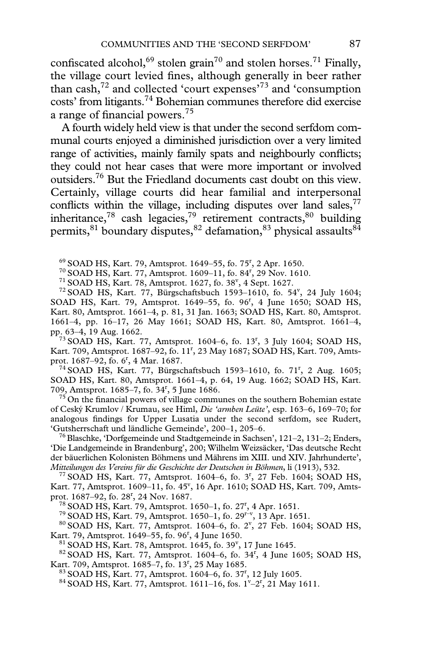confiscated alcohol,<sup>69</sup> stolen grain<sup>70</sup> and stolen horses.<sup>71</sup> Finally, the village court levied fines, although generally in beer rather than cash, $72$  and collected 'court expenses' $73$  and 'consumption costs' from litigants.74 Bohemian communes therefore did exercise a range of financial powers.<sup>75</sup>

A fourth widely held view is that under the second serfdom communal courts enjoyed a diminished jurisdiction over a very limited range of activities, mainly family spats and neighbourly conflicts; they could not hear cases that were more important or involved outsiders.76 But the Friedland documents cast doubt on this view. Certainly, village courts did hear familial and interpersonal conflicts within the village, including disputes over land sales,  $77$ inheritance,<sup>78</sup> cash legacies,<sup>79</sup> retirement contracts,<sup>80</sup> building permits,  $81$  boundary disputes,  $82$  defamation,  $83$  physical assaults  $84$ 

 $69$  SOAD HS, Kart. 79, Amtsprot. 1649–55, fo. 75<sup>r</sup>, 2 Apr. 1650.

<sup>70</sup> SOAD HS, Kart. 77, Amtsprot. 1609–11, fo. 84<sup>r</sup>, 29 Nov. 1610.

 $71$  SOAD HS, Kart. 78, Amtsprot. 1627, fo. 38<sup>v</sup>, 4 Sept. 1627.

<sup>71</sup> SOAD HS, Kart. 78, Amtsprot. 1627, fo. 38<sup>v</sup>, 4 Sept. 1627.<br><sup>72</sup> SOAD HS, Kart. 77, Bürgschaftsbuch 1593–1610, fo. 54<sup>v</sup>, 24 July 1604; SOAD HS, Kart. 79, Amtsprot. 1649-55, fo. 96<sup>r</sup>, 4 June 1650; SOAD HS, Kart. 80, Amtsprot. 1661–4, p. 81, 31 Jan. 1663; SOAD HS, Kart. 80, Amtsprot. 1661–4, pp. 16–17, 26 May 1661; SOAD HS, Kart. 80, Amtsprot. 1661–4,

pp. 63–4, 19 Aug. 1662.<br><sup>73</sup> SOAD HS, Kart. 77, Amtsprot. 1604–6, fo. 13<sup>r</sup>, 3 July 1604; SOAD HS, Kart. 709, Amtsprot. 1687-92, fo. 11<sup>r</sup>, 23 May 1687; SOAD HS, Kart. 709, Amtsprot.  $1687-92$ , fo.  $6^r$ , 4 Mar. 1687.

ot. 1687–92, fo. 6<sup>r</sup>, 4 Mar. 1687.<br><sup>74</sup> SOAD HS, Kart. 77, Bürgschaftsbuch 1593–1610, fo. 71<sup>r</sup>, 2 Aug. 1605; SOAD HS, Kart. 80, Amtsprot. 1661–4, p. 64, 19 Aug. 1662; SOAD HS, Kart. 709, Amtsprot. 1685–7, fo. 34<sup>r</sup>, 5 June 1686.

 $<sup>75</sup>$  On the financial powers of village communes on the southern Bohemian estate</sup> of Ceský Krumlov / Krumau, see Himl, *Die 'armben Leüte'*, esp. 163–6, 169–70; for analogous findings for Upper Lusatia under the second serfdom, see Rudert, 'Gutsherrschaft und ländliche Gemeinde', 200-1, 205-6.

<sup>76</sup> Blaschke, 'Dorfgemeinde und Stadtgemeinde in Sachsen', 121–2, 131–2; Enders, 'Die Landgemeinde in Brandenburg', 200; Wilhelm Weizsäcker, 'Das deutsche Recht der bäuerlichen Kolonisten Böhmens und Mährens im XIII. und XIV. Jahrhunderte', Mitteilungen des Vereins für die Geschichte der Deutschen in Böhmen, li (1913), 532. *Mitteilungen des Vereins für die Geschichte der Deutschen in Böhmen*, li (1913), 532. 77 SOAD HS, Kart. 77, Amtsprot. 1604–6, fo. 3<sup>r</sup> , 27 Feb. 1604; SOAD HS,

Kart. 77, Amtsprot. 1609-11, fo. 45°, 16 Apr. 1610; SOAD HS, Kart. 709, Amtsprot. 1687–92, fo. 28<sup>r</sup>, 24 Nov. 1687.

<sup>78</sup> SOAD HS, Kart. 79, Amtsprot. 1650–1, fo. 27<sup>r</sup>, 4 Apr. 1651.<br><sup>79</sup> SOAD HS, Kart. 79, Amtsprot. 1650–1, fo. 29<sup>r-v</sup>, 13 Apr. 1651.

<sup>78</sup> SOAD HS, Kart. 79, Amtsprot. 1650–1, fo. 27<sup>r</sup>, 4 Apr. 1651.<br><sup>79</sup> SOAD HS, Kart. 79, Amtsprot. 1650–1, fo. 2<sup>9r–v</sup>, 13 Apr. 1651.<br><sup>80</sup> SOAD HS, Kart. 77, Amtsprot. 1604–6, fo. 2<sup>v</sup>, 27 Feb. 1604; SOAD HS, Kart. 79, Amtsprot. 1649–55, fo. 96<sup>r</sup>, 4 June 1650.

 $81$  SOAD HS, Kart. 78, Amtsprot. 1645, fo. 39<sup>v</sup>, 17 June 1645.

 $^{81}$  SOAD HS, Kart. 78, Amtsprot. 1645, fo. 39<sup>v</sup>, 17 June 1645.<br><sup>82</sup> SOAD HS, Kart. 77, Amtsprot. 1604–6, fo. 34<sup>r</sup>, 4 June 1605; SOAD HS, Kart. 709, Amtsprot. 1685-7, fo. 13<sup>r</sup>, 25 May 1685.

 $83$  SOAD HS, Kart. 77, Amtsprot. 1604–6, fo. 37<sup>r</sup>, 12 July 1605.

<sup>83</sup> SOAD HS, Kart. 77, Amtsprot. 1604–6, fo. 37<sup>r</sup>, 12 July 1605.<br><sup>84</sup> SOAD HS, Kart. 77, Amtsprot. 1611–16, fos. 1<sup>v</sup>–2<sup>r</sup>, 21 May 1611.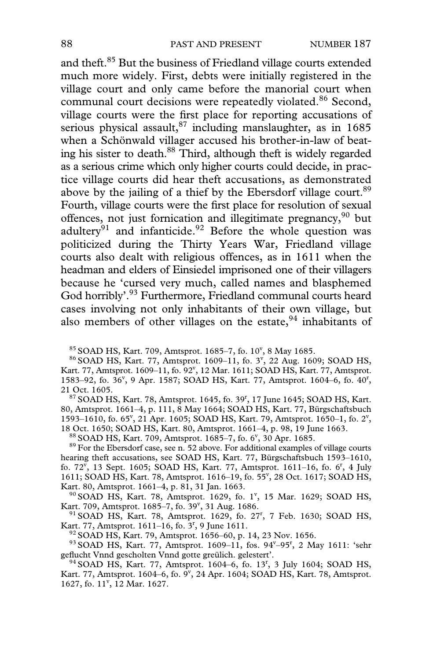and theft.85 But the business of Friedland village courts extended much more widely. First, debts were initially registered in the village court and only came before the manorial court when communal court decisions were repeatedly violated.<sup>86</sup> Second, village courts were the first place for reporting accusations of serious physical assault,  $87$  including manslaughter, as in 1685 when a Schönwald villager accused his brother-in-law of beating his sister to death.<sup>88</sup> Third, although theft is widely regarded as a serious crime which only higher courts could decide, in practice village courts did hear theft accusations, as demonstrated above by the jailing of a thief by the Ebersdorf village court.<sup>89</sup> Fourth, village courts were the first place for resolution of sexual offences, not just fornication and illegitimate pregnancy,<sup>90</sup> but adultery<sup>91</sup> and infanticide.<sup>92</sup> Before the whole question was politicized during the Thirty Years War, Friedland village courts also dealt with religious offences, as in 1611 when the headman and elders of Einsiedel imprisoned one of their villagers because he 'cursed very much, called names and blasphemed God horribly'.<sup>93</sup> Furthermore, Friedland communal courts heard cases involving not only inhabitants of their own village, but also members of other villages on the estate,  $94$  inhabitants of

<sup>85</sup> SOAD HS, Kart. 709, Amtsprot. 1685–7, fo. 10<sup>v</sup>, 8 May 1685.<br><sup>86</sup> SOAD HS, Kart. 77, Amtsprot. 1609–11, fo. 3<sup>v</sup>, 22 Aug. 1609; SOAD HS, Kart. 77, Amtsprot. 1609-11, fo. 92<sup>v</sup>, 12 Mar. 1611; SOAD HS, Kart. 77, Amtsprot. 1583-92, fo. 36<sup>v</sup>, 9 Apr. 1587; SOAD HS, Kart. 77, Amtsprot. 1604-6, fo. 40<sup>r</sup>,

21 Oct. 1605.<br><sup>87</sup> SOAD HS, Kart. 78, Amtsprot. 1645, fo. 39<sup>r</sup>, 17 June 1645; SOAD HS, Kart. 80, Amtsprot. 1661–4, p. 111, 8 May 1664; SOAD HS, Kart. 77, Bürgschaftsbuch 1593-1610, fo. 65<sup>v</sup>, 21 Apr. 1605; SOAD HS, Kart. 79, Amtsprot. 1650-1, fo. 2<sup>v</sup>, 18 Oct. 1650; SOAD HS, Kart. 80, Amtsprot. 1661–4, p. 98, 19 June 1663. <sup>88</sup> SOAD HS, Kart. 709, Amtsprot. 1685–7, fo. 6<sup>v</sup>, 30 Apr. 1685.

 $89$  For the Ebersdorf case, see n. 52 above. For additional examples of village courts hearing theft accusations, see SOAD HS, Kart. 77, Bürgschaftsbuch 1593–1610, fo.  $72^{\rm v}$ , 13 Sept. 1605; SOAD HS, Kart. 77, Amtsprot. 1611–16, fo. 6<sup>r</sup>, 4 July 1611; SOAD HS, Kart. 78, Amtsprot. 1616-19, fo. 55<sup>v</sup>, 28 Oct. 1617; SOAD HS,

Kart. 80, Amtsprot. 1661–4, p. 81, 31 Jan. 1663.<br><sup>90</sup> SOAD HS, Kart. 78, Amtsprot. 1629, fo. 1<sup>v</sup>, 15 Mar. 1629; SOAD HS, Kart. 709, Amtsprot. 1685-7, fo. 39<sup>v</sup>, 31 Aug. 1686.

art. 709, Amtsprot. 1685–7, fo. 39<sup>v</sup>, 31 Aug. 1686.<br><sup>91</sup> SOAD HS, Kart. 78, Amtsprot. 1629, fo. 27<sup>r</sup>, 7 Feb. 1630; SOAD HS, Kart. 77, Amtsprot. 1611–16, fo. 3<sup>r</sup>, 9 June 1611.<br><sup>92</sup> SOAD HS, Kart. 79, Amtsprot. 1656–60, p. 14, 23 Nov. 1656. art. 77, Amtsprot. 1611–16, fo. 3<sup>r</sup>, 9 June 1611.<br><sup>92</sup> SOAD HS, Kart. 79, Amtsprot. 1656–60, p. 14, 23 Nov. 1656.<br><sup>93</sup> SOAD HS, Kart. 77, Amtsprot. 1609–11, fos. 94<sup>v</sup>–95<sup>r</sup>, 2 May 1611: 'sehr

geflucht Vnnd gescholten Vnnd gotte greülich. gelestert'.

<sup>94</sup> SOAD HS, Kart. 77, Amtsprot. 1604-6, fo. 13<sup>r</sup>, 3 July 1604; SOAD HS, Kart. 77, Amtsprot. 1604–6, fo.  $9^{\nu}$ , 24 Apr. 1604; SOAD HS, Kart. 78, Amtsprot. 1627, fo. 11<sup>v</sup>, 12 Mar. 1627.

 $85$  SOAD HS, Kart. 709, Amtsprot. 1685–7, fo. 10<sup>v</sup>, 8 May 1685.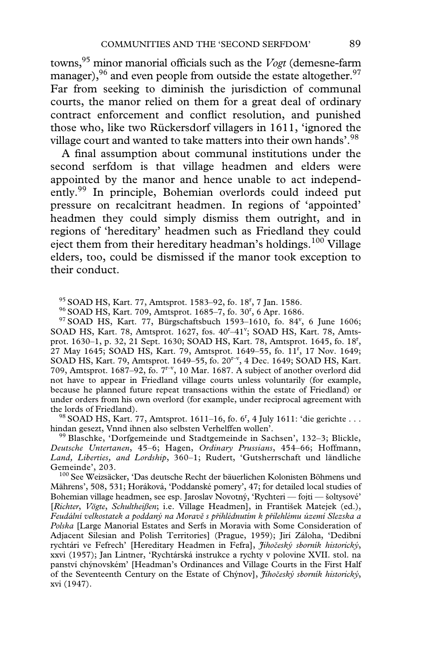towns,<sup>95</sup> minor manorial officials such as the *Vogt* (demesne-farm manager),  $96$  and even people from outside the estate altogether.  $97$ Far from seeking to diminish the jurisdiction of communal courts, the manor relied on them for a great deal of ordinary contract enforcement and conflict resolution, and punished those who, like two Rückersdorf villagers in 1611, 'ignored the village court and wanted to take matters into their own hands'.<sup>98</sup>

A final assumption about communal institutions under the second serfdom is that village headmen and elders were appointed by the manor and hence unable to act independently.99 In principle, Bohemian overlords could indeed put pressure on recalcitrant headmen. In regions of 'appointed' headmen they could simply dismiss them outright, and in regions of 'hereditary' headmen such as Friedland they could eject them from their hereditary headman's holdings.<sup>100</sup> Village elders, too, could be dismissed if the manor took exception to their conduct.

 $95$  SOAD HS, Kart. 77, Amtsprot. 1583–92, fo. 18<sup>r</sup>, 7 Jan. 1586.

<sup>96</sup> SOAD HS, Kart. 709, Amtsprot. 1685-7, fo. 30<sup>r</sup>, 6 Apr. 1686.

<sup>90</sup> SOAD HS, Kart. 709, Amtsprot. 1685–7, fo. 30<sup>r</sup>, 6 Apr. 1686.<br><sup>97</sup> SOAD HS, Kart. 77, Bürgschaftsbuch 1593–1610, fo. 84<sup>v</sup>, 6 June 1606; SOAD HS, Kart. 78, Amtsprot. 1627, fos. 40<sup>r</sup>-41<sup>v</sup>; SOAD HS, Kart. 78, Amtsprot. 1630-1, p. 32, 21 Sept. 1630; SOAD HS, Kart. 78, Amtsprot. 1645, fo. 18<sup>r</sup>, 27 May 1645; SOAD HS, Kart. 79, Amtsprot. 1649-55, fo. 11<sup>r</sup>, 17 Nov. 1649; SOAD HS, Kart. 79, Amtsprot. 1649–55, fo. 20<sup>r-v</sup>, 4 Dec. 1649; SOAD HS, Kart. 709, Amtsprot. 1687–92, fo. 7r–v, 10 Mar. 1687. A subject of another overlord did not have to appear in Friedland village courts unless voluntarily (for example, because he planned future repeat transactions within the estate of Friedland) or under orders from his own overlord (for example, under reciprocal agreement with

the lords of Friedland).<br><sup>98</sup> SOAD HS, Kart. 77, Amtsprot. 1611–16, fo. 6<sup>r</sup>, 4 July 1611: 'die gerichte . . . hindan gesezt, Vnnd ihnen also selbsten Verhelffen wollen'. 99 Blaschke, 'Dorfgemeinde und Stadtgemeinde in Sachsen', 132–3; Blickle,

*Deutsche Untertanen*, 45–6; Hagen, *Ordinary Prussians*, 454–66; Hoffmann, *Land, Liberties, and Lordship*, 360–1; Rudert, 'Gutsherrschaft und ländliche

<sup>100</sup> See Weizsäcker, 'Das deutsche Recht der bäuerlichen Kolonisten Böhmens und Mährens', 508, 531; Horáková, 'Poddanské pomery', 47; for detailed local studies of Bohemian village headmen, see esp. Jaroslav Novotný, 'Rychteri — fojti — šoltysové' [*Richter*, *Vögte*, *Schultheißen*; i.e. Village Headmen], in František Matejek (ed.), *Feudální velkostatek a poddaný na Morave s prihlédnutím k prilehlému území Slezska a Polska* [Large Manorial Estates and Serfs in Moravia with Some Consideration of Adjacent Silesian and Polish Territories] (Prague, 1959); Jirí Záloha, 'Dedibní rychtári ve Fefrech' [Hereditary Headmen in Fefra], *Jihobeský sborník historický*, xxvi (1957); Jan Lintner, 'Rychtárská instrukce a rychty v polovine XVII. stol. na panství chýnovském' [Headman's Ordinances and Village Courts in the First Half of the Seventeenth Century on the Estate of Chýnov], *Jihobeský sborník historický*, xvi (1947).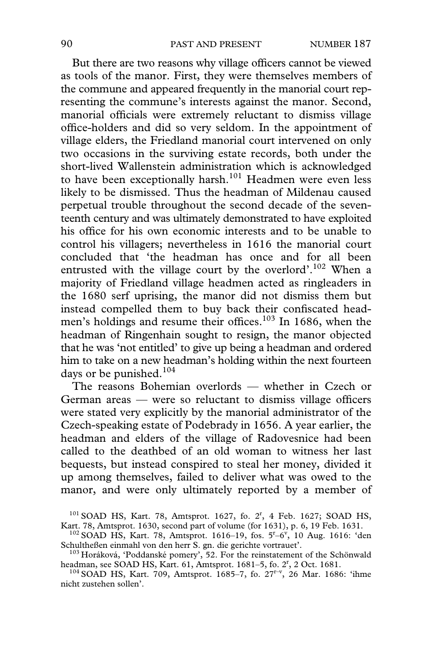But there are two reasons why village officers cannot be viewed as tools of the manor. First, they were themselves members of the commune and appeared frequently in the manorial court representing the commune's interests against the manor. Second, manorial officials were extremely reluctant to dismiss village office-holders and did so very seldom. In the appointment of village elders, the Friedland manorial court intervened on only two occasions in the surviving estate records, both under the short-lived Wallenstein administration which is acknowledged to have been exceptionally harsh.<sup>101</sup> Headmen were even less likely to be dismissed. Thus the headman of Mildenau caused perpetual trouble throughout the second decade of the seventeenth century and was ultimately demonstrated to have exploited his office for his own economic interests and to be unable to control his villagers; nevertheless in 1616 the manorial court concluded that 'the headman has once and for all been entrusted with the village court by the overlord'.<sup>102</sup> When a majority of Friedland village headmen acted as ringleaders in the 1680 serf uprising, the manor did not dismiss them but instead compelled them to buy back their confiscated headmen's holdings and resume their offices.<sup>103</sup> In 1686, when the headman of Ringenhain sought to resign, the manor objected that he was 'not entitled' to give up being a headman and ordered him to take on a new headman's holding within the next fourteen days or be punished. $104$ 

The reasons Bohemian overlords — whether in Czech or German areas  $-$  were so reluctant to dismiss village officers were stated very explicitly by the manorial administrator of the Czech-speaking estate of Podebrady in 1656. A year earlier, the headman and elders of the village of Radovesnice had been called to the deathbed of an old woman to witness her last bequests, but instead conspired to steal her money, divided it up among themselves, failed to deliver what was owed to the manor, and were only ultimately reported by a member of

101 SOAD HS, Kart. 78, Amtsprot. 1627, fo. 2<sup>r</sup>, 4 Feb. 1627; SOAD HS, Kart. 78, Amtsprot. 1630, second part of volume (for 1631), p. 6, 19 Feb. 1631.<br><sup>102</sup> SOAD HS, Kart. 78, Amtsprot. 1616–19, fos. 5<sup>r</sup>–6<sup>v</sup>, 10 Aug. 1616: 'den

Schultheßen einmahl von den herr S. gn. die gerichte vortrauet'. 103 Horáková, 'Poddanské pomery', 52. For the reinstatement of the Schönwald

headman, see SOAD HS, Kart. 61, Amtsprot. 1681-5, fo. 2<sup>r</sup>, 2 Oct. 1681.

<sup>&</sup>lt;sup>104</sup> SOAD HS, Kart. 709, Amtsprot. 1685–7, fo. 27<sup>r–v</sup>, 26 Mar. 1686: 'ihme nicht zustehen sollen'.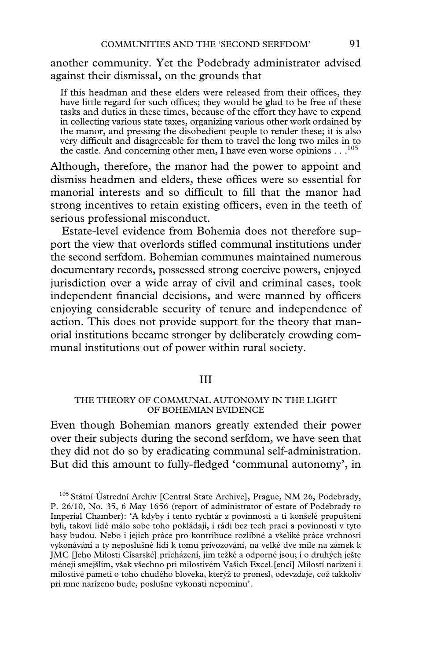another community. Yet the Podebrady administrator advised against their dismissal, on the grounds that

If this headman and these elders were released from their offices, they have little regard for such offices; they would be glad to be free of these tasks and duties in these times, because of the effort they have to expend in collecting various state taxes, organizing various other work ordained by the manor, and pressing the disobedient people to render these; it is also very difficult and disagreeable for them to travel the long two miles in to the castle. And concerning other men, I have even worse opinions  $\dots^{105}$ 

Although, therefore, the manor had the power to appoint and dismiss headmen and elders, these offices were so essential for manorial interests and so difficult to fill that the manor had strong incentives to retain existing officers, even in the teeth of serious professional misconduct.

Estate-level evidence from Bohemia does not therefore support the view that overlords stifled communal institutions under the second serfdom. Bohemian communes maintained numerous documentary records, possessed strong coercive powers, enjoyed jurisdiction over a wide array of civil and criminal cases, took independent financial decisions, and were manned by officers enjoying considerable security of tenure and independence of action. This does not provide support for the theory that manorial institutions became stronger by deliberately crowding communal institutions out of power within rural society.

## III

#### THE THEORY OF COMMUNAL AUTONOMY IN THE LIGHT OF BOHEMIAN EVIDENCE

Even though Bohemian manors greatly extended their power over their subjects during the second serfdom, we have seen that they did not do so by eradicating communal self-administration. But did this amount to fully-fledged 'communal autonomy', in

<sup>105</sup> Státní Ústrední Archiv [Central State Archive], Prague, NM 26, Podebrady, P. 26/10, No. 35, 6 May 1656 (report of administrator of estate of Podebrady to Imperial Chamber): 'A kdyby i tento rychtár z povinnosti a ti konšelé propušteni byli, takoví lidé málo sobe toho pokládají, i rádi bez tech prací a povinností v tyto basy budou. Nebo i jejich práce pro kontribuce rozlibné a všeliké práce vrchnosti vykonávání a ty neposlušné lidi k tomu privozování, na velké dve míle na zámek k JMC [Jeho Milosti Císarské] pricházení, jim težké a odporné jsou; í o druhých ješte méneji smejšlím, však všechno pri milostivém Vašich Excel.[encí] Milostí narízení i milostivé pameti o toho chudého bloveka, kterýž to pronesl, odevzdaje, což takkoliv pri mne narízeno bude, poslušne vykonati nepominu'.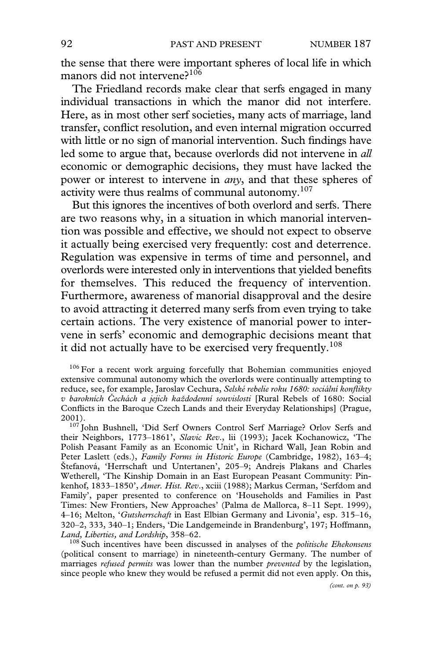the sense that there were important spheres of local life in which manors did not intervene?<sup>106</sup>

The Friedland records make clear that serfs engaged in many individual transactions in which the manor did not interfere. Here, as in most other serf societies, many acts of marriage, land transfer, conflict resolution, and even internal migration occurred with little or no sign of manorial intervention. Such findings have led some to argue that, because overlords did not intervene in *all* economic or demographic decisions, they must have lacked the power or interest to intervene in *any*, and that these spheres of activity were thus realms of communal autonomy.<sup>107</sup>

But this ignores the incentives of both overlord and serfs. There are two reasons why, in a situation in which manorial intervention was possible and effective, we should not expect to observe it actually being exercised very frequently: cost and deterrence. Regulation was expensive in terms of time and personnel, and overlords were interested only in interventions that yielded benefits for themselves. This reduced the frequency of intervention. Furthermore, awareness of manorial disapproval and the desire to avoid attracting it deterred many serfs from even trying to take certain actions. The very existence of manorial power to intervene in serfs' economic and demographic decisions meant that it did not actually have to be exercised very frequently.<sup>108</sup>

 $106$  For a recent work arguing forcefully that Bohemian communities enjoyed extensive communal autonomy which the overlords were continually attempting to reduce, see, for example, Jaroslav Cechura, *Selské rebelie roku 1680: sociální konflikty v barokních Cechách a jejich každodenní souvislosti* [Rural Rebels of 1680: Social Conflicts in the Baroque Czech Lands and their Everyday Relationships] (Prague, 2001). <sup>107</sup> John Bushnell, 'Did Serf Owners Control Serf Marriage? Orlov Serfs and

their Neighbors, 1773–1861', *Slavic Rev*., lii (1993); Jacek Kochanowicz, 'The Polish Peasant Family as an Economic Unit', in Richard Wall, Jean Robin and Peter Laslett (eds.), *Family Forms in Historic Europe* (Cambridge, 1982), 163–4; Štefanová, 'Herrschaft und Untertanen', 205–9; Andrejs Plakans and Charles Wetherell, 'The Kinship Domain in an East European Peasant Community: Pinkenhof, 1833–1850', *Amer. Hist. Rev*., xciii (1988); Markus Cerman, 'Serfdom and Family', paper presented to conference on 'Households and Families in Past Times: New Frontiers, New Approaches' (Palma de Mallorca, 8–11 Sept. 1999), 4–16; Melton, '*Gutsherrschaft* in East Elbian Germany and Livonia', esp. 315–16, 320–2, 333, 340–1; Enders, 'Die Landgemeinde in Brandenburg', 197; Hoffmann, *Land, Liberties, and Lordship, 358–62.* 108 Such incentives have been discussed in analyses of the *politische Ehekonsens* 

(political consent to marriage) in nineteenth-century Germany. The number of marriages *refused permits* was lower than the number *prevented* by the legislation, since people who knew they would be refused a permit did not even apply. On this,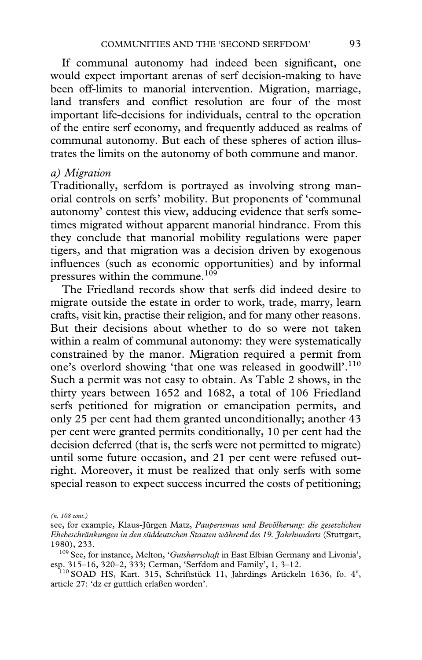If communal autonomy had indeed been significant, one would expect important arenas of serf decision-making to have been off-limits to manorial intervention. Migration, marriage, land transfers and conflict resolution are four of the most important life-decisions for individuals, central to the operation of the entire serf economy, and frequently adduced as realms of communal autonomy. But each of these spheres of action illustrates the limits on the autonomy of both commune and manor.

# *a) Migration*

Traditionally, serfdom is portrayed as involving strong manorial controls on serfs' mobility. But proponents of 'communal autonomy' contest this view, adducing evidence that serfs sometimes migrated without apparent manorial hindrance. From this they conclude that manorial mobility regulations were paper tigers, and that migration was a decision driven by exogenous influences (such as economic opportunities) and by informal pressures within the commune.<sup>109</sup>

The Friedland records show that serfs did indeed desire to migrate outside the estate in order to work, trade, marry, learn crafts, visit kin, practise their religion, and for many other reasons. But their decisions about whether to do so were not taken within a realm of communal autonomy: they were systematically constrained by the manor. Migration required a permit from one's overlord showing 'that one was released in goodwill'.<sup>110</sup> Such a permit was not easy to obtain. As Table 2 shows, in the thirty years between 1652 and 1682, a total of 106 Friedland serfs petitioned for migration or emancipation permits, and only 25 per cent had them granted unconditionally; another 43 per cent were granted permits conditionally, 10 per cent had the decision deferred (that is, the serfs were not permitted to migrate) until some future occasion, and 21 per cent were refused outright. Moreover, it must be realized that only serfs with some special reason to expect success incurred the costs of petitioning;

*<sup>(</sup>n. 108 cont.)*

see, for example, Klaus-Jürgen Matz, *Pauperismus und Bevölkerung: die gesetzlichen Ehebeschränkungen in den süddeutschen Staaten während des 19. Jahrhunderts* (Stuttgart, 1980), 233.

<sup>&</sup>lt;sup>109</sup> See, for instance, Melton, '*Gutsherrschaft* in East Elbian Germany and Livonia', esp. 315–16, 320–2, 333; Cerman, 'Serfdom and Family', 1, 3–12. esp. 315–16, 320–2, 333; Cerman, 'Serfdom and Family', 1, 3–12.<br><sup>110</sup> SOAD HS, Kart. 315, Schriftstück 11, Jahrdings Artickeln 1636, fo. 4<sup>v</sup>,

article 27: 'dz er guttlich erlaßen worden'.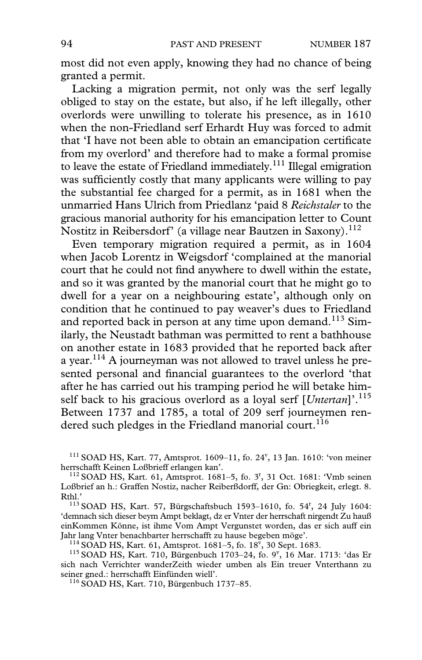most did not even apply, knowing they had no chance of being granted a permit.

Lacking a migration permit, not only was the serf legally obliged to stay on the estate, but also, if he left illegally, other overlords were unwilling to tolerate his presence, as in 1610 when the non-Friedland serf Erhardt Huy was forced to admit that 'I have not been able to obtain an emancipation certificate from my overlord' and therefore had to make a formal promise to leave the estate of Friedland immediately.<sup>111</sup> Illegal emigration was sufficiently costly that many applicants were willing to pay the substantial fee charged for a permit, as in 1681 when the unmarried Hans Ulrich from Priedlanz 'paid 8 *Reichstaler* to the gracious manorial authority for his emancipation letter to Count Nostitz in Reibersdorf' (a village near Bautzen in Saxony).<sup>112</sup>

Even temporary migration required a permit, as in 1604 when Jacob Lorentz in Weigsdorf 'complained at the manorial court that he could not find anywhere to dwell within the estate, and so it was granted by the manorial court that he might go to dwell for a year on a neighbouring estate', although only on condition that he continued to pay weaver's dues to Friedland and reported back in person at any time upon demand.<sup>113</sup> Similarly, the Neustadt bathman was permitted to rent a bathhouse on another estate in 1683 provided that he reported back after a year.114 A journeyman was not allowed to travel unless he presented personal and financial guarantees to the overlord 'that after he has carried out his tramping period he will betake himself back to his gracious overlord as a loyal serf [*Untertan*]'.115 Between 1737 and 1785, a total of 209 serf journeymen rendered such pledges in the Friedland manorial court.<sup>116</sup>

 $111$  SOAD HS, Kart. 77, Amtsprot. 1609-11, fo. 24', 13 Jan. 1610: 'von meiner herrschafft Keinen Loßbrieff erlangen kan'.<br><sup>112</sup> SOAD HS, Kart. 61, Amtsprot. 1681–5, fo. 3<sup>r</sup>, 31 Oct. 1681: 'Vmb seinen

 $^{114}$  SOAD HS, Kart. 61, Amtsprot. 1681–5, fo. 18<sup>v</sup>, 30 Sept. 1683.

Loßbrief an h.: Graffen Nostiz, nacher Reiberßdorff, der Gn: Obriegkeit, erlegt. 8. Rthl.'<br>113 SOAD HS, Kart. 57, Bürgschaftsbuch 1593–1610, fo. 54<sup>r</sup>, 24 July 1604:

<sup>&#</sup>x27;demnach sich dieser beym Ampt beklagt, dz er Vnter der herrschaft nirgendt Zu hauß einKommen Könne, ist ihme Vom Ampt Vergunstet worden, das er sich auff ein

<sup>&</sup>lt;sup>114</sup> SOAD HS, Kart. 61, Amtsprot. 1681–5, fo. 18<sup>v</sup>, 30 Sept. 1683.<br><sup>115</sup> SOAD HS, Kart. 710, Bürgenbuch 1703–24, fo. 9<sup>v</sup>, 16 Mar. 1713: 'das Er sich nach Verrichter wanderZeith wieder umben als Ein treuer Vnterthann zu seiner gned.: herrschafft Einfünden wiell'. 116 SOAD HS, Kart. 710, Bürgenbuch 1737–85.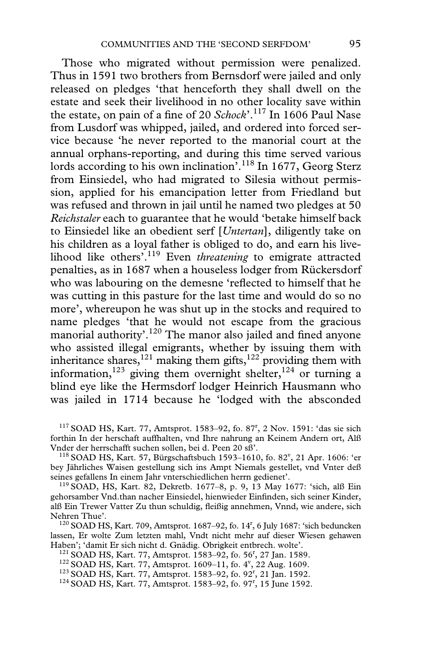Those who migrated without permission were penalized. Thus in 1591 two brothers from Bernsdorf were jailed and only released on pledges 'that henceforth they shall dwell on the estate and seek their livelihood in no other locality save within the estate, on pain of a fine of 20  $Schock$ <sup>117</sup> In 1606 Paul Nase from Lusdorf was whipped, jailed, and ordered into forced service because 'he never reported to the manorial court at the annual orphans-reporting, and during this time served various lords according to his own inclination<sup>', 118</sup> In 1677, Georg Sterz from Einsiedel, who had migrated to Silesia without permission, applied for his emancipation letter from Friedland but was refused and thrown in jail until he named two pledges at 50 *Reichstaler* each to guarantee that he would 'betake himself back to Einsiedel like an obedient serf [*Untertan*], diligently take on his children as a loyal father is obliged to do, and earn his livelihood like others'.119 Even *threatening* to emigrate attracted penalties, as in 1687 when a houseless lodger from Rückersdorf who was labouring on the demesne 'reflected to himself that he was cutting in this pasture for the last time and would do so no more', whereupon he was shut up in the stocks and required to name pledges 'that he would not escape from the gracious manorial authority'.<sup>120</sup> The manor also jailed and fined anyone who assisted illegal emigrants, whether by issuing them with inheritance shares,<sup>121</sup> making them gifts,<sup>122</sup> providing them with information,<sup>123</sup> giving them overnight shelter,<sup>124</sup> or turning a blind eye like the Hermsdorf lodger Heinrich Hausmann who was jailed in 1714 because he 'lodged with the absconded

Vnder der herrschafft suchen sollen, bei d. Peen 20 sß'.<br><sup>118</sup> SOAD HS, Kart. 57, Bürgschaftsbuch 1593–1610, fo. 82<sup>v</sup>, 21 Apr. 1606: 'er bey Jährliches Waisen gestellung sich ins Ampt Niemals gestellet, vnd Vnter deß

 $119$  SOAD, HS, Kart. 82, Dekretb. 1677–8, p. 9, 13 May 1677: 'sich, alß Ein gehorsamber Vnd.than nacher Einsiedel, hienwieder Einfinden, sich seiner Kinder, alß Ein Trewer Vatter Zu thun schuldig, Xeißig annehmen, Vnnd, wie andere, sich

Nehren Thue'.<br><sup>120</sup> SOAD HS, Kart. 709, Amtsprot. 1687–92, fo. 14<sup>r</sup>, 6 July 1687: 'sich beduncken lassen, Er wolte Zum letzten mahl, Vndt nicht mehr auf dieser Wiesen gehawen<br>Haben'; 'damit Er sich nicht d. Gnädig. Obrigkeit entbrech. wolte'.

 $121$  SOAD HS, Kart. 77, Amtsprot. 1583–92, fo. 56<sup>r</sup>, 27 Jan. 1589.

<sup>122</sup> SOAD HS, Kart. 77, Amtsprot. 1609-11, fo. 4<sup>v</sup>, 22 Aug. 1609.

<sup>123</sup> SOAD HS, Kart. 77, Amtsprot. 1583-92, fo. 92<sup>r</sup>, 21 Jan. 1592. <sup>123</sup> SOAD HS, Kart. 77, Amtsprot. 1583–92, fo. 92<sup>r</sup>, 21 Jan. 1592.<br><sup>124</sup> SOAD HS, Kart. 77, Amtsprot. 1583–92, fo. 97<sup>r</sup>, 15 June 1592.

<sup>&</sup>lt;sup>117</sup> SOAD HS, Kart. 77, Amtsprot. 1583-92, fo. 87<sup>r</sup>, 2 Nov. 1591: 'das sie sich forthin In der herschaft auffhalten, vnd Ihre nahrung an Keinem Andern ort, Alß<br>Vnder der herrschafft suchen sollen, bei d. Peen 20 sß'.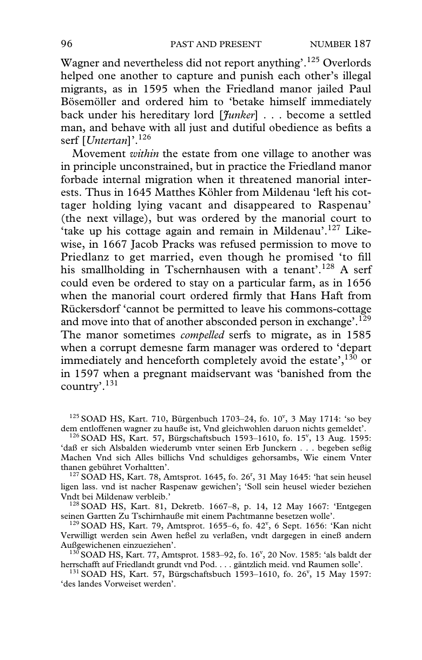Wagner and nevertheless did not report anything'.125 Overlords helped one another to capture and punish each other's illegal migrants, as in 1595 when the Friedland manor jailed Paul Bösemöller and ordered him to 'betake himself immediately back under his hereditary lord [*Junker*] . . . become a settled man, and behave with all just and dutiful obedience as befits a serf [*Untertan*]'.126

Movement *within* the estate from one village to another was in principle unconstrained, but in practice the Friedland manor forbade internal migration when it threatened manorial interests. Thus in 1645 Matthes Köhler from Mildenau 'left his cottager holding lying vacant and disappeared to Raspenau' (the next village), but was ordered by the manorial court to 'take up his cottage again and remain in Mildenau'.<sup>127</sup> Likewise, in 1667 Jacob Pracks was refused permission to move to Priedlanz to get married, even though he promised 'to fill his smallholding in Tschernhausen with a tenant'.<sup>128</sup> A serf could even be ordered to stay on a particular farm, as in 1656 when the manorial court ordered firmly that Hans Haft from Rückersdorf 'cannot be permitted to leave his commons-cottage and move into that of another absconded person in exchange'.<sup>129</sup> The manor sometimes *compelled* serfs to migrate, as in 1585 when a corrupt demesne farm manager was ordered to 'depart immediately and henceforth completely avoid the estate', $130$  or in 1597 when a pregnant maidservant was 'banished from the country'.131

 $125$  SOAD HS, Kart. 710, Bürgenbuch 1703-24, fo.  $10^{\circ}$ , 3 May 1714: 'so bey dem entloffenen wagner zu hauße ist, Vnd gleichwohlen daruon nichts gemeldet'.<br><sup>126</sup> SOAD HS, Kart. 57, Bürgschaftsbuch 1593–1610, fo. 15<sup>v</sup>, 13 Aug. 1595:

'daß er sich Alsbalden wiederumb vnter seinen Erb Junckern . . . begeben seßig Machen Vnd sich Alles billichs Vnd schuldiges gehorsambs, Wie einem Vnter

thanen gebühret Vorhaltten'.<br><sup>127</sup> SOAD HS, Kart. 78, Amtsprot. 1645, fo. 26<sup>r</sup>, 31 May 1645: 'hat sein heusel ligen lass. vnd ist nacher Raspenaw gewichen'; 'Soll sein heusel wieder beziehen

<sup>128</sup> SOAD HS, Kart. 81, Dekretb. 1667–8, p. 14, 12 May 1667: 'Entgegen seinen Gartten Zu Tschirnhauße mit einem Pachtmanne besetzen wolle'.

seinen Gartten Zu Tschirnhauße mit einem Pachtmanne besetzen wolle'.<br><sup>129</sup> SOAD HS, Kart. 79, Amtsprot. 1655–6, fo. 42<sup>v</sup>, 6 Sept. 1656: 'Kan nicht Verwilligt werden sein Awen heßel zu verlaßen, vndt dargegen in eineß andern

Außgewichenen einzueziehen'.<br><sup>130</sup> SOAD HS, Kart. 77, Amtsprot. 1583–92, fo. 16<sup>v</sup>, 20 Nov. 1585: 'als baldt der

herrschafft auf Friedlandt grundt vnd Pod. . . . gäntzlich meid. vnd Raumen solle'.<br><sup>131</sup> SOAD HS, Kart. 57, Bürgschaftsbuch 1593–1610, fo. 26<sup>v</sup>, 15 May 1597: 'des landes Vorweiset werden'.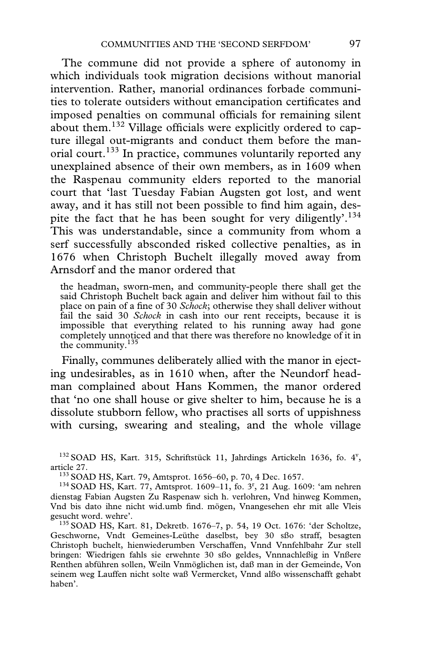The commune did not provide a sphere of autonomy in which individuals took migration decisions without manorial intervention. Rather, manorial ordinances forbade communities to tolerate outsiders without emancipation certificates and imposed penalties on communal officials for remaining silent about them.<sup>132</sup> Village officials were explicitly ordered to capture illegal out-migrants and conduct them before the manorial court.<sup>133</sup> In practice, communes voluntarily reported any unexplained absence of their own members, as in 1609 when the Raspenau community elders reported to the manorial court that 'last Tuesday Fabian Augsten got lost, and went away, and it has still not been possible to find him again, despite the fact that he has been sought for very diligently'.<sup>134</sup> This was understandable, since a community from whom a serf successfully absconded risked collective penalties, as in 1676 when Christoph Buchelt illegally moved away from Arnsdorf and the manor ordered that

the headman, sworn-men, and community-people there shall get the said Christoph Buchelt back again and deliver him without fail to this place on pain of a fine of 30 *Schock*; otherwise they shall deliver without fail the said 30 *Schock* in cash into our rent receipts, because it is impossible that everything related to his running away had gone completely unnoticed and that there was therefore no knowledge of it in the community.<sup>135</sup>

Finally, communes deliberately allied with the manor in ejecting undesirables, as in 1610 when, after the Neundorf headman complained about Hans Kommen, the manor ordered that 'no one shall house or give shelter to him, because he is a dissolute stubborn fellow, who practises all sorts of uppishness with cursing, swearing and stealing, and the whole village

 $^{132}$  SOAD HS, Kart. 315, Schriftstück 11, Jahrdings Artickeln 1636, fo. 4<sup>v</sup>, article 27.<br><sup>133</sup> SOAD HS, Kart. 79, Amtsprot. 1656–60, p. 70, 4 Dec. 1657.<br><sup>134</sup> SOAD HS, Kart. 77, Amtsprot. 1609–11, fo. 3<sup>r</sup>, 21 Aug. 1609: 'am nehren

dienstag Fabian Augsten Zu Raspenaw sich h. verlohren, Vnd hinweg Kommen, Vnd bis dato ihne nicht wid.umb find. mögen, Vnangesehen ehr mit alle Vleis gesucht word. wehre'.<br><sup>135</sup> SOAD HS, Kart. 81, Dekretb. 1676–7, p. 54, 19 Oct. 1676: 'der Scholtze,

Geschworne, Vndt Gemeines-Leüthe daselbst, bey 30 sßo straff, besagten Christoph buchelt, hienwiederumben Verschaffen, Vnnd Vnnfehlbahr Zur stell bringen: Wiedrigen fahls sie erwehnte 30 sßo geldes, Vnnnachleßig in Vnßere Renthen abführen sollen, Weiln Vnmöglichen ist, daß man in der Gemeinde, Von seinem weg Lauffen nicht solte waß Vermercket, Vnnd alßo wissenschafft gehabt haben'.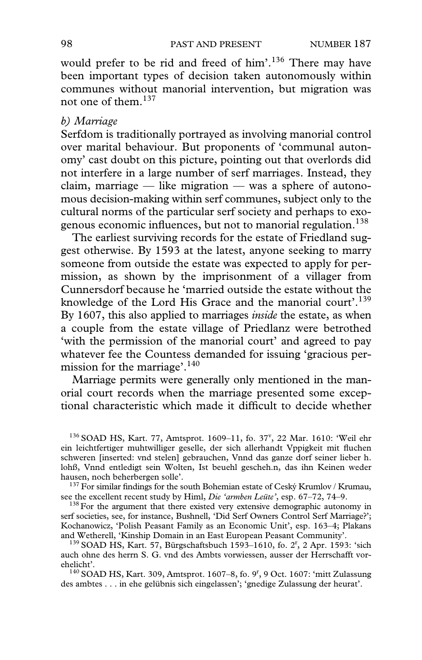would prefer to be rid and freed of him'.<sup>136</sup> There may have been important types of decision taken autonomously within communes without manorial intervention, but migration was not one of them.<sup>137</sup>

#### *b) Marriage*

Serfdom is traditionally portrayed as involving manorial control over marital behaviour. But proponents of 'communal autonomy' cast doubt on this picture, pointing out that overlords did not interfere in a large number of serf marriages. Instead, they claim, marriage — like migration — was a sphere of autonomous decision-making within serf communes, subject only to the cultural norms of the particular serf society and perhaps to exogenous economic influences, but not to manorial regulation.<sup>138</sup>

The earliest surviving records for the estate of Friedland suggest otherwise. By 1593 at the latest, anyone seeking to marry someone from outside the estate was expected to apply for permission, as shown by the imprisonment of a villager from Cunnersdorf because he 'married outside the estate without the knowledge of the Lord His Grace and the manorial court'.<sup>139</sup> By 1607, this also applied to marriages *inside* the estate, as when a couple from the estate village of Priedlanz were betrothed 'with the permission of the manorial court' and agreed to pay whatever fee the Countess demanded for issuing 'gracious permission for the marriage'.140

Marriage permits were generally only mentioned in the manorial court records when the marriage presented some exceptional characteristic which made it difficult to decide whether

<sup>136</sup> SOAD HS, Kart. 77, Amtsprot. 1609-11, fo. 37<sup>v</sup>, 22 Mar. 1610: 'Weil ehr ein leichtfertiger muhtwilliger geselle, der sich allerhandt Vppigkeit mit fluchen schweren [inserted: vnd stelen] gebrauchen, Vnnd das ganze dorf seiner lieber h. lohß, Vnnd entledigt sein Wolten, Ist beuehl gescheh.n, das ihn Keinen weder

<sup>137</sup> For similar findings for the south Bohemian estate of Ceský Krumlov / Krumau, see the excellent recent study by Himl, *Die 'armben Leitte'*, esp. 67–72, 74–9.

<sup>138</sup> For the argument that there existed very extensive demographic autonomy in serf societies, see, for instance, Bushnell, 'Did Serf Owners Control Serf Marriage?'; Kochanowicz, 'Polish Peasant Family as an Economic Unit', esp. 163–4; Plakans and Wetherell, 'Kinship Domain in an East European Peasant Community'.<br><sup>139</sup> SOAD HS, Kart. 57, Bürgschaftsbuch 1593–1610, fo. 2<sup>r</sup>, 2 Apr. 1593: 'sich

auch ohne des herrn S. G. vnd des Ambts vorwiessen, ausser der Herrschafft vor-

ehelicht'.<br><sup>140</sup> SOAD HS, Kart. 309, Amtsprot. 1607–8, fo. 9<sup>r</sup>, 9 Oct. 1607: 'mitt Zulassung des ambtes . . . in ehe gelübnis sich eingelassen'; 'gnedige Zulassung der heurat'.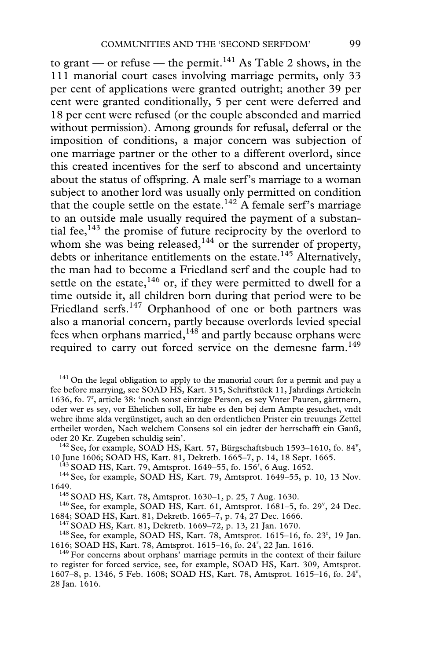to grant — or refuse — the permit.<sup>141</sup> As Table 2 shows, in the 111 manorial court cases involving marriage permits, only 33 per cent of applications were granted outright; another 39 per cent were granted conditionally, 5 per cent were deferred and 18 per cent were refused (or the couple absconded and married without permission). Among grounds for refusal, deferral or the imposition of conditions, a major concern was subjection of one marriage partner or the other to a different overlord, since this created incentives for the serf to abscond and uncertainty about the status of offspring. A male serf's marriage to a woman subject to another lord was usually only permitted on condition that the couple settle on the estate.<sup>142</sup> A female serf's marriage to an outside male usually required the payment of a substantial fee, $143$  the promise of future reciprocity by the overlord to whom she was being released, $144$  or the surrender of property, debts or inheritance entitlements on the estate.<sup>145</sup> Alternatively, the man had to become a Friedland serf and the couple had to settle on the estate,  $146$  or, if they were permitted to dwell for a time outside it, all children born during that period were to be Friedland serfs.<sup>147</sup> Orphanhood of one or both partners was also a manorial concern, partly because overlords levied special fees when orphans married, $148$  and partly because orphans were required to carry out forced service on the demesne farm.<sup>149</sup>

 $141$  On the legal obligation to apply to the manorial court for a permit and pay a fee before marrying, see SOAD HS, Kart. 315, Schriftstück 11, Jahrdings Artickeln 1636, fo. 7r , article 38: 'noch sonst eintzige Person, es sey Vnter Pauren, gärttnern, oder wer es sey, vor Ehelichen soll, Er habe es den bej dem Ampte gesuchet, vndt wehre ihme alda vergünstiget, auch an den ordentlichen Prister ein treuungs Zettel ertheilet worden, Nach welchem Consens sol ein jedter der herrschafft ein Ganß,

oder 20 Kr. Zugeben schuldig sein'.<br><sup>142</sup> See, for example, SOAD HS, Kart. 57, Bürgschaftsbuch 1593–1610, fo. 84<sup>v</sup>, 10 June 1606; SOAD HS, Kart. 81, Dekretb. 1665–7, p. 14, 18 Sept. 1665.<br><sup>143</sup> SOAD HS, Kart. 79, Amtsprot. 1649–55, fo. 156<sup>r</sup>, 6 Aug. 1652.

 $^{144}$  See, for example, SOAD HS, Kart. 79, Amtsprot. 1649–55, p. 10, 13 Nov. 1649.<br><sup>145</sup> SOAD HS, Kart. 78, Amtsprot. 1630–1, p. 25, 7 Aug. 1630.<br><sup>146</sup> See, for example, SOAD HS, Kart. 61, Amtsprot. 1681–5, fo. 29<sup>v</sup>, 24 Dec.

1684; SOAD HS, Kart. 81, Dekretb. 1665–7, p. 74, 27 Dec. 1666.<br><sup>147</sup> SOAD HS, Kart. 81, Dekretb. 1669–72, p. 13, 21 Jan. 1670.<br><sup>148</sup> See, for example, SOAD HS, Kart. 78, Amtsprot. 1615–16, fo. 23<sup>r</sup>, 19 Jan. 1616; SOAD HS, Kart. 78, Amtsprot. 1615–16, fo. 24<sup>r</sup>, 22 Jan. 1616.

<sup>149</sup> For concerns about orphans' marriage permits in the context of their failure to register for forced service, see, for example, SOAD HS, Kart. 309, Amtsprot. 1607-8, p. 1346, 5 Feb. 1608; SOAD HS, Kart. 78, Amtsprot. 1615-16, fo. 24', 28 Jan. 1616.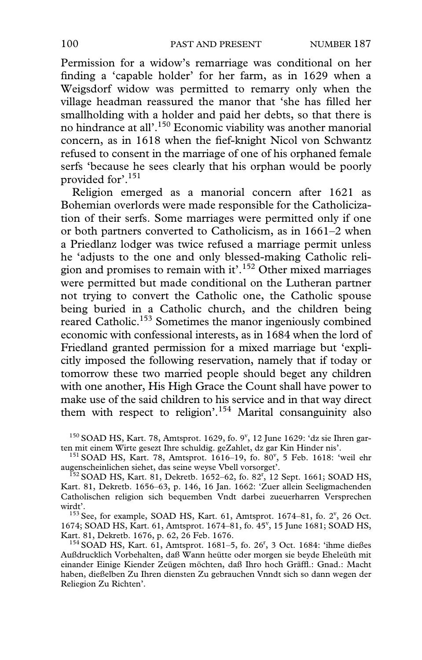Permission for a widow's remarriage was conditional on her finding a 'capable holder' for her farm, as in 1629 when a Weigsdorf widow was permitted to remarry only when the village headman reassured the manor that 'she has filled her smallholding with a holder and paid her debts, so that there is no hindrance at all'.150 Economic viability was another manorial concern, as in 1618 when the fief-knight Nicol von Schwantz refused to consent in the marriage of one of his orphaned female serfs 'because he sees clearly that his orphan would be poorly provided for'.151

Religion emerged as a manorial concern after 1621 as Bohemian overlords were made responsible for the Catholicization of their serfs. Some marriages were permitted only if one or both partners converted to Catholicism, as in 1661–2 when a Priedlanz lodger was twice refused a marriage permit unless he 'adjusts to the one and only blessed-making Catholic religion and promises to remain with it'.152 Other mixed marriages were permitted but made conditional on the Lutheran partner not trying to convert the Catholic one, the Catholic spouse being buried in a Catholic church, and the children being reared Catholic.<sup>153</sup> Sometimes the manor ingeniously combined economic with confessional interests, as in 1684 when the lord of Friedland granted permission for a mixed marriage but 'explicitly imposed the following reservation, namely that if today or tomorrow these two married people should beget any children with one another, His High Grace the Count shall have power to make use of the said children to his service and in that way direct them with respect to religion'.<sup>154</sup> Marital consanguinity also

 $150$  SOAD HS, Kart. 78, Amtsprot. 1629, fo. 9<sup>v</sup>, 12 June 1629: 'dz sie Ihren gar-

ten mit einem Wirte gesezt Ihre schuldig. geZahlet, dz gar Kin Hinder nis'.<br><sup>151</sup> SOAD HS, Kart. 78, Amtsprot. 1616–19, fo. 80<sup>v</sup>, 5 Feb. 1618: 'weil ehr

augenscheinlichen siehet, das seine weyse Vbell vorsorget'.<br><sup>152</sup> SOAD HS, Kart. 81, Dekretb. 1652–62, fo. 82<sup>r</sup>, 12 Sept. 1661; SOAD HS, Kart. 81, Dekretb. 1656–63, p. 146, 16 Jan. 1662: 'Zuer allein Seeligmachenden Catholischen religion sich bequemben Vndt darbei zueuerharren Versprechen

wirdt'.<br>153 See, for example, SOAD HS, Kart. 61, Amtsprot. 1674–81, fo. 2<sup>v</sup>, 26 Oct. 1674; SOAD HS, Kart. 61, Amtsprot. 1674-81, fo. 45', 15 June 1681; SOAD HS,

Kart. 81, Dekretb. 1676, p. 62, 26 Feb. 1676.<br>154 SOAD HS, Kart. 61, Amtsprot. 1681–5, fo. 26<sup>r</sup>, 3 Oct. 1684: 'ihme dießes Außdrucklich Vorbehalten, daß Wann heütte oder morgen sie beyde Eheleüth mit einander Einige Kiender Zeügen möchten, daß Ihro hoch Gräffl.: Gnad.: Macht haben, dießelben Zu Ihren diensten Zu gebrauchen Vnndt sich so dann wegen der Reliegion Zu Richten'.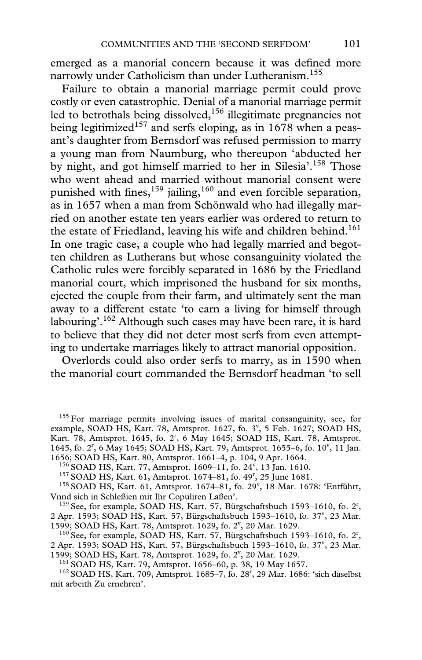emerged as a manorial concern because it was defined more narrowly under Catholicism than under Lutheranism.<sup>155</sup>

Failure to obtain a manorial marriage permit could prove costly or even catastrophic. Denial of a manorial marriage permit led to betrothals being dissolved,<sup>156</sup> illegitimate pregnancies not being legitimized<sup>157</sup> and serfs eloping, as in 1678 when a peasant's daughter from Bernsdorf was refused permission to marry a young man from Naumburg, who thereupon 'abducted her by night, and got himself married to her in Silesia'.<sup>158</sup> Those who went ahead and married without manorial consent were punished with fines, $159$  jailing, $160$  and even forcible separation, as in 1657 when a man from Schönwald who had illegally married on another estate ten years earlier was ordered to return to the estate of Friedland, leaving his wife and children behind.<sup>161</sup> In one tragic case, a couple who had legally married and begotten children as Lutherans but whose consanguinity violated the Catholic rules were forcibly separated in 1686 by the Friedland manorial court, which imprisoned the husband for six months, ejected the couple from their farm, and ultimately sent the man away to a different estate 'to earn a living for himself through labouring'.<sup>162</sup> Although such cases may have been rare, it is hard to believe that they did not deter most serfs from even attempting to undertake marriages likely to attract manorial opposition.

Overlords could also order serfs to marry, as in 1590 when the manorial court commanded the Bernsdorf headman 'to sell

 $155$  For marriage permits involving issues of marital consanguinity, see, for example, SOAD HS, Kart. 78, Amtsprot. 1627, fo. 3<sup>v</sup>, 5 Feb. 1627; SOAD HS, Kart. 78, Amtsprot. 1645, fo. 2<sup>r</sup>, 6 May 1645; SOAD HS, Kart. 78, Amtsprot. 1645, fo. 2<sup>r</sup>, 6 May 1645; SOAD HS, Kart. 79, Amtsprot. 1655-6, fo. 10<sup>v</sup>, 11 Jan. 1656; SOAD HS, Kart. 80, Amtsprot. 1661–4, p. 104, 9 Apr. 1664.<br><sup>156</sup> SOAD HS, Kart. 77, Amtsprot. 1609–11, fo. 24<sup>v</sup>, 13 Jan. 1610.

<sup>157</sup> SOAD HS, Kart. 61, Amtsprot. 1674–81, fo. 49<sup>r</sup>, 25 June 1681.

<sup>157</sup> SOAD HS, Kart. 61, Amtsprot. 1674–81, fo. 49<sup>r</sup>, 25 June 1681.<br><sup>158</sup> SOAD HS, Kart. 61, Amtsprot. 1674–81, fo. 29<sup>v</sup>, 18 Mar. 1678: 'Entführt,

Vnnd sich in Schleßien mit Ihr Copuliren Laßen'.<br><sup>159</sup> See, for example, SOAD HS, Kart. 57, Bürgschaftsbuch 1593–1610, fo. 2<sup>r</sup>, 2 Apr. 1593; SOAD HS, Kart. 57, Bürgschaftsbuch 1593-1610, fo. 37<sup>v</sup>, 23 Mar. 1599; SOAD HS, Kart. 78, Amtsprot. 1629, fo. 2<sup>v</sup>, 20 Mar. 1629.

99; SOAD HS, Kart. 78, Amtsprot. 1629, fo. 2<sup>v</sup>, 20 Mar. 1629.<br><sup>160</sup> See, for example, SOAD HS, Kart. 57, Bürgschaftsbuch 1593–1610, fo. 2<sup>r</sup>, 2 Apr. 1593; SOAD HS, Kart. 57, Bürgschaftsbuch 1593-1610, fo. 37<sup>v</sup>, 23 Mar. 1599; SOAD HS, Kart. 78, Amtsprot. 1629, fo. 2<sup>v</sup>, 20 Mar. 1629.<br><sup>161</sup> SOAD HS, Kart. 79, Amtsprot. 1656–60, p. 38, 19 May 1657.

99; SOAD HS, Kart. 78, Amtsprot. 1629, fo. 2<sup>v</sup>, 20 Mar. 1629.<br><sup>161</sup> SOAD HS, Kart. 79, Amtsprot. 1656–60, p. 38, 19 May 1657.<br><sup>162</sup> SOAD HS, Kart. 709, Amtsprot. 1685–7, fo. 28<sup>r</sup>, 29 Mar. 1686: 'sich daselbst mit arbeith Zu ernehren'.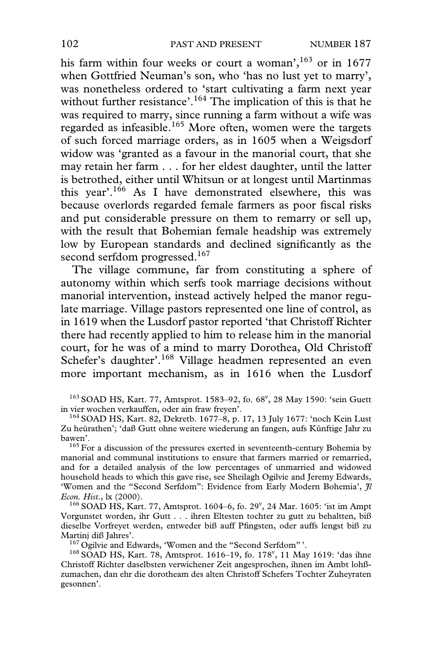his farm within four weeks or court a woman',  $163$  or in 1677 when Gottfried Neuman's son, who 'has no lust yet to marry', was nonetheless ordered to 'start cultivating a farm next year without further resistance'.<sup>164</sup> The implication of this is that he was required to marry, since running a farm without a wife was regarded as infeasible.<sup>165</sup> More often, women were the targets of such forced marriage orders, as in 1605 when a Weigsdorf widow was 'granted as a favour in the manorial court, that she may retain her farm . . . for her eldest daughter, until the latter is betrothed, either until Whitsun or at longest until Martinmas this year'.<sup>166</sup> As I have demonstrated elsewhere, this was because overlords regarded female farmers as poor fiscal risks and put considerable pressure on them to remarry or sell up, with the result that Bohemian female headship was extremely low by European standards and declined significantly as the second serfdom progressed.<sup>167</sup>

The village commune, far from constituting a sphere of autonomy within which serfs took marriage decisions without manorial intervention, instead actively helped the manor regulate marriage. Village pastors represented one line of control, as in 1619 when the Lusdorf pastor reported 'that Christoff Richter there had recently applied to him to release him in the manorial court, for he was of a mind to marry Dorothea, Old Christoff Schefer's daughter'.<sup>168</sup> Village headmen represented an even more important mechanism, as in 1616 when the Lusdorf

<sup>163</sup> SOAD HS, Kart. 77, Amtsprot. 1583-92, fo. 68<sup>v</sup>, 28 May 1590: 'sein Guett in vier wochen verkauffen, oder ain fraw freyen'.<br><sup>164</sup> SOAD HS, Kart. 82, Dekretb. 1677–8, p. 17, 13 July 1677: 'noch Kein Lust

Zu heürathen'; 'daß Gutt ohne weitere wiederung an fangen, aufs Künftige Jahr zu bawen'.<br><sup>165</sup> For a discussion of the pressures exerted in seventeenth-century Bohemia by

manorial and communal institutions to ensure that farmers married or remarried, and for a detailed analysis of the low percentages of unmarried and widowed household heads to which this gave rise, see Sheilagh Ogilvie and Jeremy Edwards, 'Women and the "Second Serfdom": Evidence from Early Modern Bohemia',  $Jl$ <br>*Econ. Hist.*, lx (2000).

*Econ. Hist.*, lx (2000).<br><sup>166</sup> SOAD HS, Kart. 77, Amtsprot. 1604–6, fo. 29<sup>v</sup>, 24 Mar. 1605: 'ist im Ampt Vorgunstet worden, ihr Gutt . . . ihren Eltesten tochter zu gutt zu behaltten, biß dieselbe Vorfreyet werden, entweder biß auff Pfingsten, oder auffs lengst biß zu<br>Martinj diß Jahres'.

Martinj diß Jahres'.<br><sup>167</sup> Ogilvie and Edwards, 'Women and the "Second Serfdom" '.<br><sup>168</sup> SOAD HS, Kart. 78, Amtsprot. 1616–19, fo. 178<sup>v</sup>, 11 May 1619: 'das ihne Christoff Richter daselbsten verwichener Zeit angesprochen, ihnen im Ambt lohßzumachen, dan ehr die dorotheam des alten Christoff Schefers Tochter Zuheyraten gesonnen'.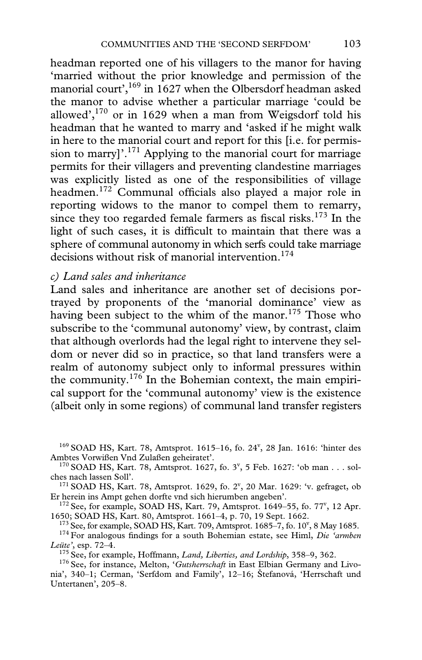headman reported one of his villagers to the manor for having 'married without the prior knowledge and permission of the manorial court',<sup>169</sup> in 1627 when the Olbersdorf headman asked the manor to advise whether a particular marriage 'could be allowed', $170$  or in 1629 when a man from Weigsdorf told his headman that he wanted to marry and 'asked if he might walk in here to the manorial court and report for this [i.e. for permission to marry]<sup>'.171</sup> Applying to the manorial court for marriage permits for their villagers and preventing clandestine marriages was explicitly listed as one of the responsibilities of village headmen.<sup>172</sup> Communal officials also played a major role in reporting widows to the manor to compel them to remarry, since they too regarded female farmers as fiscal risks.<sup>173</sup> In the light of such cases, it is difficult to maintain that there was a sphere of communal autonomy in which serfs could take marriage decisions without risk of manorial intervention.<sup>174</sup>

# *c) Land sales and inheritance*

Land sales and inheritance are another set of decisions portrayed by proponents of the 'manorial dominance' view as having been subject to the whim of the manor.<sup>175</sup> Those who subscribe to the 'communal autonomy' view, by contrast, claim that although overlords had the legal right to intervene they seldom or never did so in practice, so that land transfers were a realm of autonomy subject only to informal pressures within the community.176 In the Bohemian context, the main empirical support for the 'communal autonomy' view is the existence (albeit only in some regions) of communal land transfer registers

 $^{169}$  SOAD HS, Kart. 78, Amtsprot. 1615-16, fo. 24<sup>v</sup>, 28 Jan. 1616: 'hinter des

Ambtes Vorwißen Vnd Zulaßen geheiratet'.<br><sup>170</sup> SOAD HS, Kart. 78, Amtsprot. 1627, fo. 3<sup>v</sup>, 5 Feb. 1627: 'ob man . . . sol-

ches nach lassen Soll'.<br><sup>171</sup> SOAD HS, Kart. 78, Amtsprot. 1629, fo. 2<sup>v</sup>, 20 Mar. 1629: 'v. gefraget, ob

Er herein ins Ampt gehen dorfte vnd sich hierumben angeben'.<br><sup>172</sup> See, for example, SOAD HS, Kart. 79, Amtsprot. 1649–55, fo. 77<sup>v</sup>, 12 Apr. 1650; SOAD HS, Kart. 80, Amtsprot. 1661–4, p. 70, 19 Sept. 1662.<br><sup>173</sup> See, for example, SOAD HS, Kart. 709, Amtsprot. 1685–7, fo. 10<sup>v</sup>, 8 May 1685.

<sup>174</sup> For analogous findings for a south Bohemian estate, see Himl, *Die 'armben Leüte'*, esp. 72–4.

<sup>175</sup> See, for example, Hoffmann, *Land, Liberties, and Lordship*, 358–9, 362. <sup>176</sup> See, for instance, Melton, '*Gutsherrschaft* in East Elbian Germany and Livo-

nia', 340–1; Cerman, 'Serfdom and Family', 12–16; Štefanová, 'Herrschaft und Untertanen', 205–8.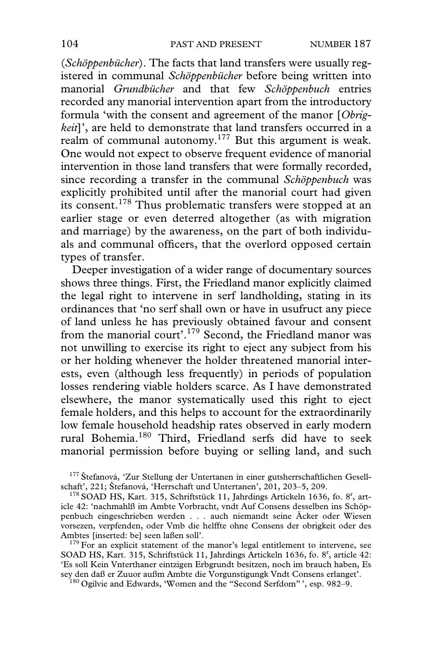(*Schöppenbücher*). The facts that land transfers were usually registered in communal *Schöppenbücher* before being written into manorial *Grundbücher* and that few *Schöppenbuch* entries recorded any manorial intervention apart from the introductory formula 'with the consent and agreement of the manor [*Obrigkeit*]', are held to demonstrate that land transfers occurred in a realm of communal autonomy.<sup>177</sup> But this argument is weak. One would not expect to observe frequent evidence of manorial intervention in those land transfers that were formally recorded, since recording a transfer in the communal *Schöppenbuch* was explicitly prohibited until after the manorial court had given its consent.178 Thus problematic transfers were stopped at an earlier stage or even deterred altogether (as with migration and marriage) by the awareness, on the part of both individuals and communal officers, that the overlord opposed certain types of transfer.

Deeper investigation of a wider range of documentary sources shows three things. First, the Friedland manor explicitly claimed the legal right to intervene in serf landholding, stating in its ordinances that 'no serf shall own or have in usufruct any piece of land unless he has previously obtained favour and consent from the manorial court'.179 Second, the Friedland manor was not unwilling to exercise its right to eject any subject from his or her holding whenever the holder threatened manorial interests, even (although less frequently) in periods of population losses rendering viable holders scarce. As I have demonstrated elsewhere, the manor systematically used this right to eject female holders, and this helps to account for the extraordinarily low female household headship rates observed in early modern rural Bohemia.180 Third, Friedland serfs did have to seek manorial permission before buying or selling land, and such

<sup>177</sup> Štefanová, 'Zur Stellung der Untertanen in einer gutsherrschaftlichen Gesell-

schaft', 221; Štefanová, 'Herrschaft und Untertanen', 201, 203–5, 209.<br><sup>178</sup> SOAD HS, Kart. 315, Schriftstück 11, Jahrdings Artickeln 1636, fo. 8<sup>r</sup>, article 42: 'nachmahlß im Ambte Vorbracht, vndt Auf Consens desselben ins Schöppenbuch eingeschrieben werden . . . auch niemandt seine Äcker oder Wiesen vorsezen, verpfenden, oder Vmb die helffte ohne Consens der obrigkeit oder des

 $179$  For an explicit statement of the manor's legal entitlement to intervene, see SOAD HS, Kart. 315, Schriftstück 11, Jahrdings Artickeln 1636, fo. 8<sup>r</sup>, article 42: 'Es soll Kein Vnterthaner eintzigen Erbgrundt besitzen, noch im brauch haben, Es

<sup>180</sup> Ogilvie and Edwards, 'Women and the "Second Serfdom" ', esp. 982–9.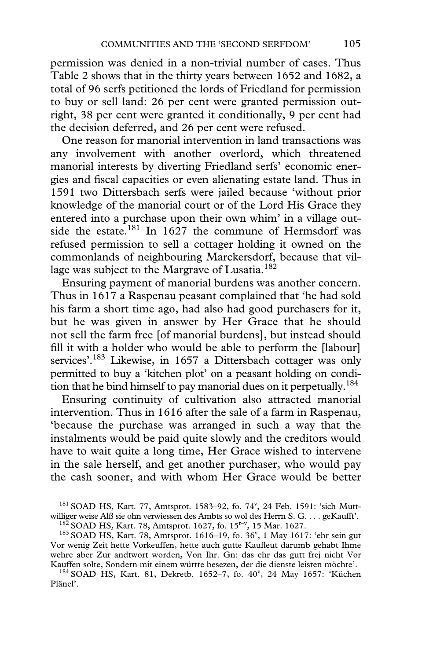permission was denied in a non-trivial number of cases. Thus Table 2 shows that in the thirty years between 1652 and 1682, a total of 96 serfs petitioned the lords of Friedland for permission to buy or sell land: 26 per cent were granted permission outright, 38 per cent were granted it conditionally, 9 per cent had the decision deferred, and 26 per cent were refused.

One reason for manorial intervention in land transactions was any involvement with another overlord, which threatened manorial interests by diverting Friedland serfs' economic energies and fiscal capacities or even alienating estate land. Thus in 1591 two Dittersbach serfs were jailed because 'without prior knowledge of the manorial court or of the Lord His Grace they entered into a purchase upon their own whim' in a village outside the estate.<sup>181</sup> In 1627 the commune of Hermsdorf was refused permission to sell a cottager holding it owned on the commonlands of neighbouring Marckersdorf, because that village was subject to the Margrave of Lusatia.<sup>182</sup>

Ensuring payment of manorial burdens was another concern. Thus in 1617 a Raspenau peasant complained that 'he had sold his farm a short time ago, had also had good purchasers for it, but he was given in answer by Her Grace that he should not sell the farm free [of manorial burdens], but instead should fill it with a holder who would be able to perform the [labour] services'.<sup>183</sup> Likewise, in 1657 a Dittersbach cottager was only permitted to buy a 'kitchen plot' on a peasant holding on condition that he bind himself to pay manorial dues on it perpetually.<sup>184</sup>

Ensuring continuity of cultivation also attracted manorial intervention. Thus in 1616 after the sale of a farm in Raspenau, 'because the purchase was arranged in such a way that the instalments would be paid quite slowly and the creditors would have to wait quite a long time, Her Grace wished to intervene in the sale herself, and get another purchaser, who would pay the cash sooner, and with whom Her Grace would be better

<sup>181</sup> SOAD HS, Kart. 77, Amtsprot. 1583-92, fo. 74<sup>v</sup>, 24 Feb. 1591: 'sich Muttwilliger weise Alß sie ohn verwiessen des Ambts so wol des Herrn S. G. . . . geKaufft'.<br><sup>182</sup> SOAD HS, Kart. 78, Amtsprot. 1627, fo. 15<sup>r-v</sup>, 15 Mar. 1627.<br><sup>183</sup> SOAD HS, Kart. 78, Amtsprot. 1616–19, fo. 36<sup>v</sup>, 1 May 1617:

Vor wenig Zeit hette Vorkeuffen, hette auch gutte Kaufleut darumb gehabt Ihme wehre aber Zur andtwort worden, Von Ihr. Gn: das ehr das gutt frej nicht Vor

Kauffen solte, Sondern mit einem württe besezen, der die dienste leisten möchte'.<br><sup>184</sup> SOAD HS, Kart. 81, Dekretb. 1652–7, fo. 40<sup>v</sup>, 24 May 1657: 'Küchen Plänel'.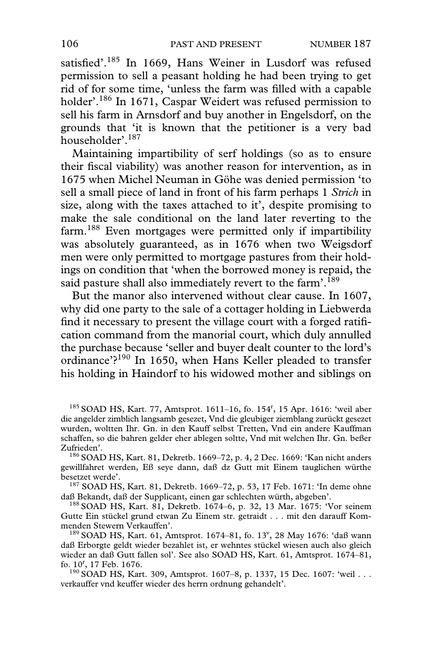satisfied'.<sup>185</sup> In 1669, Hans Weiner in Lusdorf was refused permission to sell a peasant holding he had been trying to get rid of for some time, 'unless the farm was filled with a capable holder'.<sup>186</sup> In 1671, Caspar Weidert was refused permission to sell his farm in Arnsdorf and buy another in Engelsdorf, on the grounds that 'it is known that the petitioner is a very bad householder'.187

Maintaining impartibility of serf holdings (so as to ensure their fiscal viability) was another reason for intervention, as in 1675 when Michel Neuman in Göhe was denied permission 'to sell a small piece of land in front of his farm perhaps 1 *Strich* in size, along with the taxes attached to it', despite promising to make the sale conditional on the land later reverting to the farm.188 Even mortgages were permitted only if impartibility was absolutely guaranteed, as in 1676 when two Weigsdorf men were only permitted to mortgage pastures from their holdings on condition that 'when the borrowed money is repaid, the said pasture shall also immediately revert to the farm'.<sup>189</sup>

But the manor also intervened without clear cause. In 1607, why did one party to the sale of a cottager holding in Liebwerda find it necessary to present the village court with a forged ratification command from the manorial court, which duly annulled the purchase because 'seller and buyer dealt counter to the lord's ordinance'?<sup>190</sup> In 1650, when Hans Keller pleaded to transfer his holding in Haindorf to his widowed mother and siblings on

 $185$  SOAD HS, Kart. 77, Amtsprot. 1611–16, fo. 154<sup>r</sup>, 15 Apr. 1616: 'weil aber die angelder zimblich langsamb gesezet, Vnd die gleubiger ziemblang zurückt gesezet wurden, woltten Ihr. Gn. in den Kauff selbst Tretten, Vnd ein andere Kauffman schaffen, so die bahren gelder eher ablegen soltte, Vnd mit welchen Ihr. Gn. beßer

<sup>186</sup> SOAD HS, Kart. 81, Dekretb. 1669–72, p. 4, 2 Dec. 1669: 'Kan nicht anders gewillfahret werden, Eß seye dann, daß dz Gutt mit Einem tauglichen würthe

<sup>187</sup> SOAD HS, Kart. 81, Dekretb. 1669–72, p. 53, 17 Feb. 1671: 'In deme ohne daß Bekandt, daß der Supplicant, einen gar schlechten würth, abgeben'.

 $188$  SOAD HS, Kart. 81, Dekretb. 1674–6, p. 32, 13 Mar. 1675: 'Vor seinem Gutte Ein stückel grund etwan Zu Einem str. getraidt . . . mit den darauff Kom-

menden Stewern Verkauffen'.<br><sup>189</sup> SOAD HS, Kart. 61, Amtsprot. 1674–81, fo. 13<sup>v</sup>, 28 May 1676: 'daß wann daß Erborgte geldt wieder bezahlet ist, er wehntes stückel wiesen auch also gleich wieder an daß Gutt fallen sol'. See also SOAD HS, Kart. 61, Amtsprot. 1674–81, fo. 10<sup>r</sup>, 17 Feb. 1676.

<sup>190</sup> SOAD HS, Kart. 309, Amtsprot. 1607–8, p. 1337, 15 Dec. 1607: 'weil . . . verkauffer vnd keuffer wieder des herrn ordnung gehandelt'.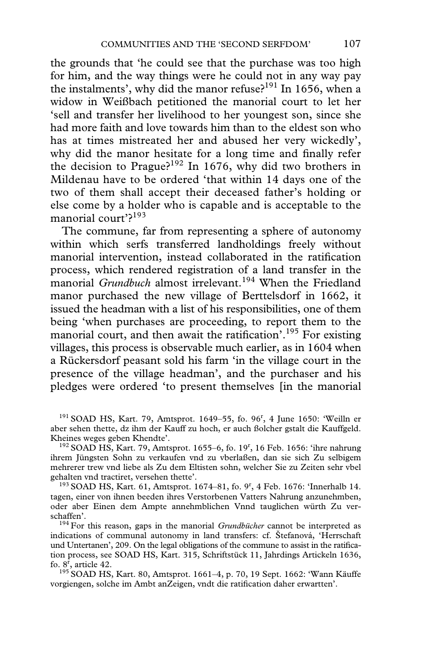the grounds that 'he could see that the purchase was too high for him, and the way things were he could not in any way pay the instalments', why did the manor refuse? $191$  In 1656, when a widow in Weißbach petitioned the manorial court to let her 'sell and transfer her livelihood to her youngest son, since she had more faith and love towards him than to the eldest son who has at times mistreated her and abused her very wickedly', why did the manor hesitate for a long time and finally refer the decision to Prague?<sup>192</sup> In 1676, why did two brothers in Mildenau have to be ordered 'that within 14 days one of the two of them shall accept their deceased father's holding or else come by a holder who is capable and is acceptable to the manorial court'?<sup>193</sup>

The commune, far from representing a sphere of autonomy within which serfs transferred landholdings freely without manorial intervention, instead collaborated in the ratification process, which rendered registration of a land transfer in the manorial *Grundbuch* almost irrelevant.194 When the Friedland manor purchased the new village of Berttelsdorf in 1662, it issued the headman with a list of his responsibilities, one of them being 'when purchases are proceeding, to report them to the manorial court, and then await the ratification'.<sup>195</sup> For existing villages, this process is observable much earlier, as in 1604 when a Rückersdorf peasant sold his farm 'in the village court in the presence of the village headman', and the purchaser and his pledges were ordered 'to present themselves [in the manorial

 $191$  SOAD HS, Kart. 79, Amtsprot. 1649–55, fo. 96<sup>r</sup>, 4 June 1650: 'Weilln er aber sehen thette, dz ihm der Kauff zu hoch, er auch ßolcher gstalt die Kauffgeld.

Kheines weges geben Khendte'.<br><sup>192</sup> SOAD HS, Kart. 79, Amtsprot. 1655–6, fo. 19<sup>r</sup>, 16 Feb. 1656: 'ihre nahrung ihrem Jüngsten Sohn zu verkaufen vnd zu vberlaßen, dan sie sich Zu selbigem mehrerer trew vnd liebe als Zu dem Eltisten sohn, welcher Sie zu Zeiten sehr vbel

gehalten vnd tractiret, versehen thette'.<br><sup>193</sup> SOAD HS, Kart. 61, Amtsprot. 1674–81, fo. 9<sup>r</sup>, 4 Feb. 1676: 'Innerhalb 14. tagen, einer von ihnen beeden ihres Verstorbenen Vatters Nahrung anzunehmben, oder aber Einen dem Ampte annehmblichen Vnnd tauglichen würth Zu verschaffen'. 194 For this reason, gaps in the manorial *Grundbücher* cannot be interpreted as

indications of communal autonomy in land transfers: cf. Štefanová, 'Herrschaft und Untertanen', 209. On the legal obligations of the commune to assist in the ratification process, see SOAD HS, Kart. 315, Schriftstück 11, Jahrdings Artickeln 1636, fo.  $8^r$ , article 42.

<sup>195</sup> SOAD HS, Kart. 80, Amtsprot. 1661–4, p. 70, 19 Sept. 1662: 'Wann Käuffe vorgiengen, solche im Ambt anZeigen, vndt die ratification daher erwartten'.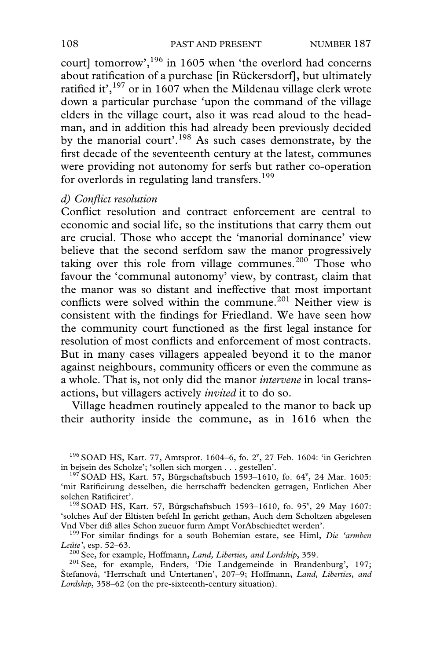court] tomorrow', $196$  in 1605 when 'the overlord had concerns about ratification of a purchase [in Rückersdorf], but ultimately ratified it',  $197$  or in 1607 when the Mildenau village clerk wrote down a particular purchase 'upon the command of the village elders in the village court, also it was read aloud to the headman, and in addition this had already been previously decided by the manorial court'.<sup>198</sup> As such cases demonstrate, by the first decade of the seventeenth century at the latest, communes were providing not autonomy for serfs but rather co-operation for overlords in regulating land transfers.<sup>199</sup>

#### *d) ConXict resolution*

Conflict resolution and contract enforcement are central to economic and social life, so the institutions that carry them out are crucial. Those who accept the 'manorial dominance' view believe that the second serfdom saw the manor progressively taking over this role from village communes.<sup>200</sup> Those who favour the 'communal autonomy' view, by contrast, claim that the manor was so distant and ineffective that most important conflicts were solved within the commune.<sup>201</sup> Neither view is consistent with the findings for Friedland. We have seen how the community court functioned as the first legal instance for resolution of most conflicts and enforcement of most contracts. But in many cases villagers appealed beyond it to the manor against neighbours, community officers or even the commune as a whole. That is, not only did the manor *intervene* in local transactions, but villagers actively *invited* it to do so.

Village headmen routinely appealed to the manor to back up their authority inside the commune, as in 1616 when the

'solches Auf der Eltisten befehl In gericht gethan, Auch dem Scholtzen abgelesen

<sup>199</sup> For similar findings for a south Bohemian estate, see Himl, *Die 'armben Leüte'*, esp. 52–63.

<sup>200</sup> See, for example, Hoffmann, *Land, Liberties, and Lordship*, 359.<br><sup>201</sup> See, for example, Enders, 'Die Landgemeinde in Brandenburg', 197; Štefanová, 'Herrschaft und Untertanen', 207–9; Hoffmann, *Land, Liberties, and Lordship*, 358–62 (on the pre-sixteenth-century situation).

 $196$  SOAD HS, Kart. 77, Amtsprot. 1604–6, fo. 2 $^{\text{v}}$ , 27 Feb. 1604: 'in Gerichten

in bejsein des Scholze'; 'sollen sich morgen . . . gestellen'.<br><sup>197</sup> SOAD HS, Kart. 57, Bürgschaftsbuch 1593–1610, fo. 64<sup>v</sup>, 24 Mar. 1605: 'mit Ratificirung desselben, die herrschafft bedencken getragen, Entlichen Aber solchen Ratificiret'.<br><sup>198</sup> SOAD HS, Kart. 57, Bürgschaftsbuch 1593–1610, fo. 95<sup>v</sup>, 29 May 1607: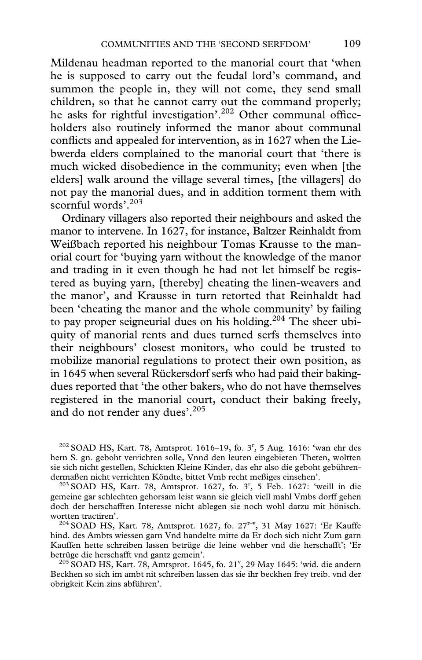Mildenau headman reported to the manorial court that 'when he is supposed to carry out the feudal lord's command, and summon the people in, they will not come, they send small children, so that he cannot carry out the command properly; he asks for rightful investigation'.<sup>202</sup> Other communal officeholders also routinely informed the manor about communal conflicts and appealed for intervention, as in 1627 when the Liebwerda elders complained to the manorial court that 'there is much wicked disobedience in the community; even when [the elders] walk around the village several times, [the villagers] do not pay the manorial dues, and in addition torment them with scornful words'.<sup>203</sup>

Ordinary villagers also reported their neighbours and asked the manor to intervene. In 1627, for instance, Baltzer Reinhaldt from Weißbach reported his neighbour Tomas Krausse to the manorial court for 'buying yarn without the knowledge of the manor and trading in it even though he had not let himself be registered as buying yarn, [thereby] cheating the linen-weavers and the manor', and Krausse in turn retorted that Reinhaldt had been 'cheating the manor and the whole community' by failing to pay proper seigneurial dues on his holding.<sup>204</sup> The sheer ubiquity of manorial rents and dues turned serfs themselves into their neighbours' closest monitors, who could be trusted to mobilize manorial regulations to protect their own position, as in 1645 when several Rückersdorf serfs who had paid their bakingdues reported that 'the other bakers, who do not have themselves registered in the manorial court, conduct their baking freely, and do not render any dues'.205

 $^{202}$  SOAD HS, Kart. 78, Amtsprot. 1616–19, fo. 3<sup>r</sup>, 5 Aug. 1616: 'wan ehr des hern S. gn. geboht verrichten solle, Vnnd den leuten eingebieten Theten, woltten sie sich nicht gestellen, Schickten Kleine Kinder, das ehr also die geboht gebühren-<br>dermaßen nicht verrichten Köndte, bittet Vmb recht meßiges einsehen'.

dermaßen nicht verrichten Köndte, bittet Vmb recht meßiges einsehen'.<br><sup>203</sup> SOAD HS, Kart. 78, Amtsprot. 1627, fo. 3<sup>r</sup>, 5 Feb. 1627: 'weill in die gemeine gar schlechten gehorsam leist wann sie gleich viell mahl Vmbs dorff gehen doch der herschafften Interesse nicht ablegen sie noch wohl darzu mit hönisch. wortten tractiren'.<br><sup>204</sup> SOAD HS, Kart. 78, Amtsprot. 1627, fo. 27<sup>r-v</sup>, 31 May 1627: 'Er Kauffe

hind. des Ambts wiessen garn Vnd handelte mitte da Er doch sich nicht Zum garn Kauffen hette schreiben lassen betrüge die leine wehber vnd die herschafft'; 'Er

betrüge die herschafft vnd gantz gemein'.<br><sup>205</sup> SOAD HS, Kart. 78, Amtsprot. 1645, fo. 21<sup>v</sup>, 29 May 1645: 'wid. die andern Beckhen so sich im ambt nit schreiben lassen das sie ihr beckhen frey treib. vnd der obrigkeit Kein zins abführen'.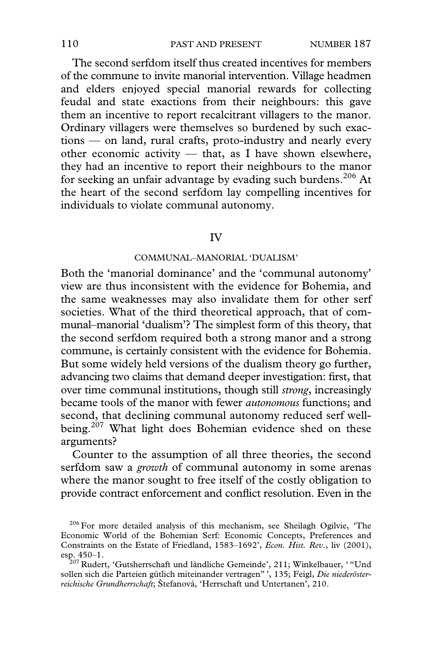The second serfdom itself thus created incentives for members of the commune to invite manorial intervention. Village headmen and elders enjoyed special manorial rewards for collecting feudal and state exactions from their neighbours: this gave them an incentive to report recalcitrant villagers to the manor. Ordinary villagers were themselves so burdened by such exactions — on land, rural crafts, proto-industry and nearly every other economic activity — that, as I have shown elsewhere, they had an incentive to report their neighbours to the manor for seeking an unfair advantage by evading such burdens.<sup>206</sup> At the heart of the second serfdom lay compelling incentives for individuals to violate communal autonomy.

# IV

### COMMUNAL–MANORIAL 'DUALISM'

Both the 'manorial dominance' and the 'communal autonomy' view are thus inconsistent with the evidence for Bohemia, and the same weaknesses may also invalidate them for other serf societies. What of the third theoretical approach, that of communal–manorial 'dualism'? The simplest form of this theory, that the second serfdom required both a strong manor and a strong commune, is certainly consistent with the evidence for Bohemia. But some widely held versions of the dualism theory go further, advancing two claims that demand deeper investigation: first, that over time communal institutions, though still *strong*, increasingly became tools of the manor with fewer *autonomous* functions; and second, that declining communal autonomy reduced serf wellbeing.<sup>207</sup> What light does Bohemian evidence shed on these arguments?

Counter to the assumption of all three theories, the second serfdom saw a *growth* of communal autonomy in some arenas where the manor sought to free itself of the costly obligation to provide contract enforcement and conflict resolution. Even in the

<sup>&</sup>lt;sup>206</sup> For more detailed analysis of this mechanism, see Sheilagh Ogilvie, 'The Economic World of the Bohemian Serf: Economic Concepts, Preferences and Constraints on the Estate of Friedland, 1583–1692', *Econ. Hist. Rev*., liv (2001), esp. 450–1.<br><sup>207</sup> Rudert, 'Gutsherrschaft und ländliche Gemeinde', 211; Winkelbauer, ' "Und

sollen sich die Parteien gütlich miteinander vertragen" ', 135; Feigl, *Die niederösterreichische Grundherrschaft*; Štefanová, 'Herrschaft und Untertanen', 210.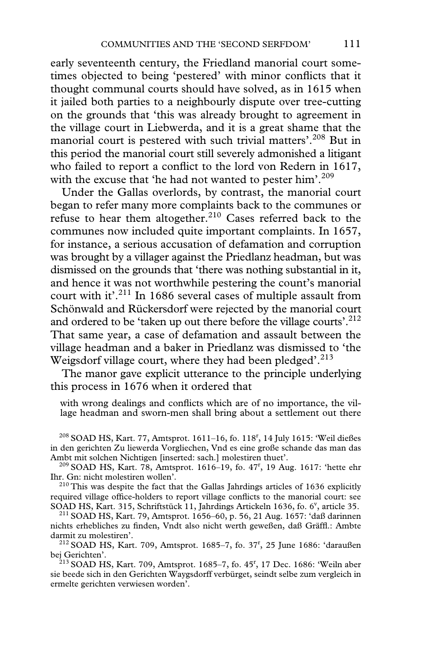early seventeenth century, the Friedland manorial court sometimes objected to being 'pestered' with minor conflicts that it thought communal courts should have solved, as in 1615 when it jailed both parties to a neighbourly dispute over tree-cutting on the grounds that 'this was already brought to agreement in the village court in Liebwerda, and it is a great shame that the manorial court is pestered with such trivial matters'.<sup>208</sup> But in this period the manorial court still severely admonished a litigant who failed to report a conflict to the lord von Redern in  $1617$ , with the excuse that 'he had not wanted to pester him'.<sup>209</sup>

Under the Gallas overlords, by contrast, the manorial court began to refer many more complaints back to the communes or refuse to hear them altogether.<sup>210</sup> Cases referred back to the communes now included quite important complaints. In 1657, for instance, a serious accusation of defamation and corruption was brought by a villager against the Priedlanz headman, but was dismissed on the grounds that 'there was nothing substantial in it, and hence it was not worthwhile pestering the count's manorial court with it'.<sup>211</sup> In 1686 several cases of multiple assault from Schönwald and Rückersdorf were rejected by the manorial court and ordered to be 'taken up out there before the village courts'.<sup>212</sup> That same year, a case of defamation and assault between the village headman and a baker in Priedlanz was dismissed to 'the Weigsdorf village court, where they had been pledged'. $^{213}$ 

The manor gave explicit utterance to the principle underlying this process in 1676 when it ordered that

with wrong dealings and conflicts which are of no importance, the village headman and sworn-men shall bring about a settlement out there

 $^{208}$  SOAD HS, Kart. 77, Amtsprot. 1611–16, fo. 118<sup>r</sup>, 14 July 1615: 'Weil dießes in den gerichten Zu liewerda Vorgliechen, Vnd es eine große schande das man das

Ambt mit solchen Nichtigen [inserted: sach.] molestiren thuet'. 209 SOAD HS, Kart. 78, Amtsprot. 1616–19, fo. 47<sup>r</sup> , 19 Aug. 1617: 'hette ehr Ihr. Gn: nicht molestiren wollen'. 210 This was despite the fact that the Gallas Jahrdings articles of 1636 explicitly

required village office-holders to report village conflicts to the manorial court: see SOAD HS, Kart. 315, Schriftstück 11, Jahrdings Artickeln 1636, fo. 6<sup>v</sup>, article 35.

<sup>211</sup> SOAD HS, Kart. 79, Amtsprot. 1656–60, p. 56, 21 Aug. 1657: 'daß darinnen nichts erhebliches zu finden, Vndt also nicht werth geweßen, daß Gräffl.: Ambte darmit zu molestiren'. darmit zu molestiren'.<br><sup>212</sup> SOAD HS, Kart. 709, Amtsprot. 1685–7, fo. 37<sup>r</sup>, 25 June 1686: 'daraußen

bej Gerichten'.<br><sup>213</sup> SOAD HS, Kart. 709, Amtsprot. 1685–7, fo. 45<sup>r</sup>, 17 Dec. 1686: 'Weiln aber sie beede sich in den Gerichten Waygsdorff verbürget, seindt selbe zum vergleich in ermelte gerichten verwiesen worden'.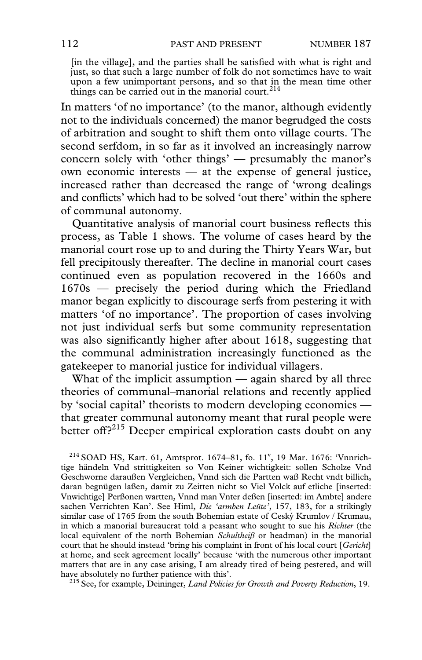[in the village], and the parties shall be satisfied with what is right and just, so that such a large number of folk do not sometimes have to wait upon a few unimportant persons, and so that in the mean time other things can be carried out in the manorial court.<sup>214</sup>

In matters 'of no importance' (to the manor, although evidently not to the individuals concerned) the manor begrudged the costs of arbitration and sought to shift them onto village courts. The second serfdom, in so far as it involved an increasingly narrow concern solely with 'other things' — presumably the manor's own economic interests — at the expense of general justice, increased rather than decreased the range of 'wrong dealings and conflicts' which had to be solved 'out there' within the sphere of communal autonomy.

Quantitative analysis of manorial court business reflects this process, as Table 1 shows. The volume of cases heard by the manorial court rose up to and during the Thirty Years War, but fell precipitously thereafter. The decline in manorial court cases continued even as population recovered in the 1660s and 1670s — precisely the period during which the Friedland manor began explicitly to discourage serfs from pestering it with matters 'of no importance'. The proportion of cases involving not just individual serfs but some community representation was also significantly higher after about 1618, suggesting that the communal administration increasingly functioned as the gatekeeper to manorial justice for individual villagers.

What of the implicit assumption — again shared by all three theories of communal–manorial relations and recently applied by 'social capital' theorists to modern developing economies that greater communal autonomy meant that rural people were better off?<sup>215</sup> Deeper empirical exploration casts doubt on any

 $^{214}$  SOAD HS, Kart. 61, Amtsprot. 1674-81, fo. 11<sup>v</sup>, 19 Mar. 1676: 'Vnnrichtige händeln Vnd strittigkeiten so Von Keiner wichtigkeit: sollen Scholze Vnd Geschworne daraußen Vergleichen, Vnnd sich die Partten waß Recht vndt billich, daran begnügen laßen, damit zu Zeitten nicht so Viel Volck auf etliche [inserted: Vnwichtige] Perßonen wartten, Vnnd man Vnter deßen [inserted: im Ambte] andere sachen Verrichten Kan'. See Himl, *Die 'armben Leüte'*, 157, 183, for a strikingly similar case of 1765 from the south Bohemian estate of Ceský Krumlov / Krumau, in which a manorial bureaucrat told a peasant who sought to sue his *Richter* (the local equivalent of the north Bohemian *Schultheiß* or headman) in the manorial court that he should instead 'bring his complaint in front of his local court [*Gericht*] at home, and seek agreement locally' because 'with the numerous other important matters that are in any case arising, I am already tired of being pestered, and will

<sup>215</sup> See, for example, Deininger, *Land Policies for Growth and Poverty Reduction*, 19.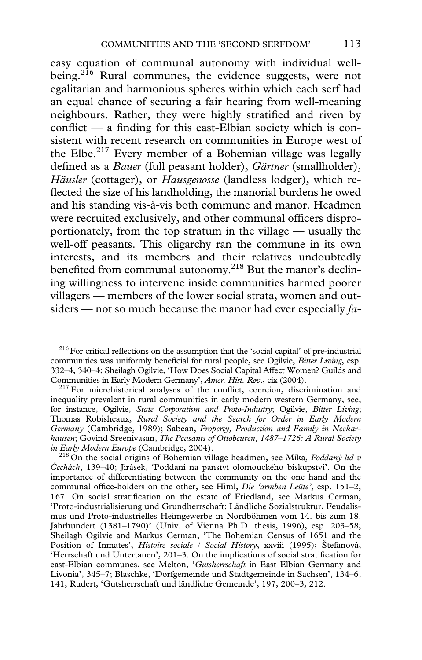easy equation of communal autonomy with individual wellbeing.<sup>216</sup> Rural communes, the evidence suggests, were not egalitarian and harmonious spheres within which each serf had an equal chance of securing a fair hearing from well-meaning neighbours. Rather, they were highly stratified and riven by conflict — a finding for this east-Elbian society which is consistent with recent research on communities in Europe west of the Elbe.<sup>217</sup> Every member of a Bohemian village was legally defined as a *Bauer* (full peasant holder), *Gärtner* (smallholder), *Häusler* (cottager), or *Hausgenosse* (landless lodger), which reflected the size of his landholding, the manorial burdens he owed and his standing vis-à-vis both commune and manor. Headmen were recruited exclusively, and other communal officers disproportionately, from the top stratum in the village — usually the well-off peasants. This oligarchy ran the commune in its own interests, and its members and their relatives undoubtedly benefited from communal autonomy.<sup>218</sup> But the manor's declining willingness to intervene inside communities harmed poorer villagers — members of the lower social strata, women and outsiders — not so much because the manor had ever especially *fa-*

 $216$  For critical reflections on the assumption that the 'social capital' of pre-industrial communities was uniformly beneficial for rural people, see Ogilvie, *Bitter Living*, esp. 332–4, 340–4; Sheilagh Ogilvie, 'How Does Social Capital Affect Women? Guilds and Communities in Early Modern Germany', *Amer. Hist. Rev.*, cix (2004).<br><sup>217</sup> For microhistorical analyses of the conflict, coercion, discrimination and

inequality prevalent in rural communities in early modern western Germany, see, for instance, Ogilvie, *State Corporatism and Proto-Industry*; Ogilvie, *Bitter Living*; Thomas Robisheaux, *Rural Society and the Search for Order in Early Modern Germany* (Cambridge, 1989); Sabean, *Property, Production and Family in Neckarhausen*; Govind Sreenivasan, *The Peasants of Ottobeuren, 1487–1726: A Rural Society*

<sup>218</sup> On the social origins of Bohemian village headmen, see Míka, *Poddaný lid v Cechách*, 139–40; Jirásek, 'Poddaní na panství olomouckého biskupství'. On the importance of differentiating between the community on the one hand and the communal office-holders on the other, see Himl, *Die 'armben Leüte'*, esp. 151–2, 167. On social stratification on the estate of Friedland, see Markus Cerman, 'Proto-industrialisierung und Grundherrschaft: Ländliche Sozialstruktur, Feudalismus und Proto-industrielles Heimgewerbe in Nordböhmen vom 14. bis zum 18. Jahrhundert (1381–1790)' (Univ. of Vienna Ph.D. thesis, 1996), esp. 203–58; Sheilagh Ogilvie and Markus Cerman, 'The Bohemian Census of 1651 and the Position of Inmates', *Histoire sociale / Social History*, xxviii (1995); Štefanová, 'Herrschaft und Untertanen', 201-3. On the implications of social stratification for east-Elbian communes, see Melton, '*Gutsherrschaft* in East Elbian Germany and Livonia', 345–7; Blaschke, 'Dorfgemeinde und Stadtgemeinde in Sachsen', 134–6, 141; Rudert, 'Gutsherrschaft und ländliche Gemeinde', 197, 200–3, 212.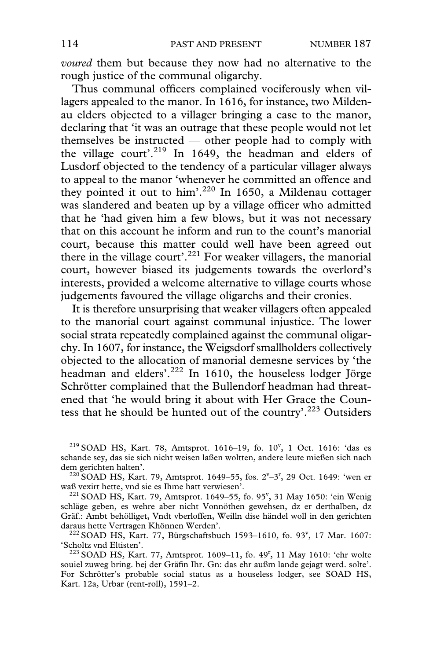*voured* them but because they now had no alternative to the rough justice of the communal oligarchy.

Thus communal officers complained vociferously when villagers appealed to the manor. In 1616, for instance, two Mildenau elders objected to a villager bringing a case to the manor, declaring that 'it was an outrage that these people would not let themselves be instructed — other people had to comply with the village court'.<sup>219</sup> In 1649, the headman and elders of Lusdorf objected to the tendency of a particular villager always to appeal to the manor 'whenever he committed an offence and they pointed it out to him'.<sup>220</sup> In 1650, a Mildenau cottager was slandered and beaten up by a village officer who admitted that he 'had given him a few blows, but it was not necessary that on this account he inform and run to the count's manorial court, because this matter could well have been agreed out there in the village court'.<sup>221</sup> For weaker villagers, the manorial court, however biased its judgements towards the overlord's interests, provided a welcome alternative to village courts whose judgements favoured the village oligarchs and their cronies.

It is therefore unsurprising that weaker villagers often appealed to the manorial court against communal injustice. The lower social strata repeatedly complained against the communal oligarchy. In 1607, for instance, the Weigsdorf smallholders collectively objected to the allocation of manorial demesne services by 'the headman and elders'.<sup>222</sup> In 1610, the houseless lodger Jörge Schrötter complained that the Bullendorf headman had threatened that 'he would bring it about with Her Grace the Countess that he should be hunted out of the country'.223 Outsiders

 $^{219}$  SOAD HS, Kart. 78, Amtsprot. 1616-19, fo. 10<sup>v</sup>, 1 Oct. 1616: 'das es schande sey, das sie sich nicht weisen laßen woltten, andere leute mießen sich nach dem gerichten halten'.<br><sup>220</sup> SOAD HS, Kart. 79, Amtsprot. 1649–55, fos. 2<sup>v</sup>–3<sup>r</sup>, 29 Oct. 1649: 'wen er

waß vexirt hette, vnd sie es Ihme hatt verwiesen'.<br><sup>221</sup> SOAD HS, Kart. 79, Amtsprot. 1649–55, fo. 95<sup>v</sup>, 31 May 1650: 'ein Wenig schläge geben, es wehre aber nicht Vonnöthen gewehsen, dz er derthalben, dz Gräf.: Ambt behölliget, Vndt vberloffen, Weilln dise händel woll in den gerichten

daraus hette Vertragen Khönnen Werden'.<br><sup>222</sup> SOAD HS, Kart. 77, Bürgschaftsbuch 1593–1610, fo. 93<sup>v</sup>, 17 Mar. 1607:

'Scholtz vnd Eltisten'. 223 SOAD HS, Kart. 77, Amtsprot. 1609–11, fo. 49r , 11 May 1610: 'ehr wolte souiel zuweg bring. bej der Gräfin Ihr. Gn: das ehr außm lande gejagt werd. solte'. For Schrötter's probable social status as a houseless lodger, see SOAD HS, Kart. 12a, Urbar (rent-roll), 1591–2.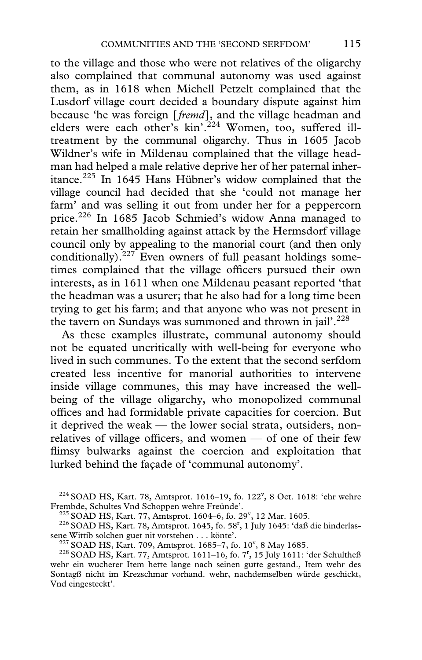to the village and those who were not relatives of the oligarchy also complained that communal autonomy was used against them, as in 1618 when Michell Petzelt complained that the Lusdorf village court decided a boundary dispute against him because 'he was foreign [*fremd*], and the village headman and elders were each other's  $kin'$ .<sup>224</sup> Women, too, suffered illtreatment by the communal oligarchy. Thus in 1605 Jacob Wildner's wife in Mildenau complained that the village headman had helped a male relative deprive her of her paternal inheritance.225 In 1645 Hans Hübner's widow complained that the village council had decided that she 'could not manage her farm' and was selling it out from under her for a peppercorn price.<sup>226</sup> In 1685 Jacob Schmied's widow Anna managed to retain her smallholding against attack by the Hermsdorf village council only by appealing to the manorial court (and then only conditionally).<sup>227</sup> Even owners of full peasant holdings sometimes complained that the village officers pursued their own interests, as in 1611 when one Mildenau peasant reported 'that the headman was a usurer; that he also had for a long time been trying to get his farm; and that anyone who was not present in the tavern on Sundays was summoned and thrown in jail'.<sup>228</sup>

As these examples illustrate, communal autonomy should not be equated uncritically with well-being for everyone who lived in such communes. To the extent that the second serfdom created less incentive for manorial authorities to intervene inside village communes, this may have increased the wellbeing of the village oligarchy, who monopolized communal offices and had formidable private capacities for coercion. But it deprived the weak — the lower social strata, outsiders, nonrelatives of village officers, and women  $-$  of one of their few flimsy bulwarks against the coercion and exploitation that lurked behind the façade of 'communal autonomy'.

 $^{224}$  SOAD HS, Kart. 78, Amtsprot. 1616–19, fo. 122<sup>v</sup>, 8 Oct. 1618: 'ehr wehre Frembde, Schultes Vnd Schoppen wehre Freünde'.<br><sup>225</sup> SOAD HS, Kart. 77, Amtsprot. 1604–6, fo. 29<sup>v</sup>, 12 Mar. 1605.

<sup>&</sup>lt;sup>225</sup> SOAD HS, Kart. 77, Amtsprot. 1604–6, fo. 29<sup>v</sup>, 12 Mar. 1605.<br><sup>226</sup> SOAD HS, Kart. 78, Amtsprot. 1645, fo. 58<sup>r</sup>, 1 July 1645: 'daß die hinderlassene Wittib solchen guet nit vorstehen  $\dots$  könte'.<br><sup>227</sup> SOAD HS, Kart. 709, Amtsprot. 1685–7, fo. 10<sup>v</sup>, 8 May 1685.

 $^{227}$  SOAD HS, Kart. 709, Amtsprot. 1685–7, fo. 10<sup>v</sup>, 8 May 1685.<br><sup>228</sup> SOAD HS, Kart. 77, Amtsprot. 1611–16, fo. 7<sup>r</sup>, 15 July 1611: 'der Schultheß wehr ein wucherer Item hette lange nach seinen gutte gestand., Item wehr des Sontagß nicht im Krezschmar vorhand. wehr, nachdemselben würde geschickt, Vnd eingesteckt'.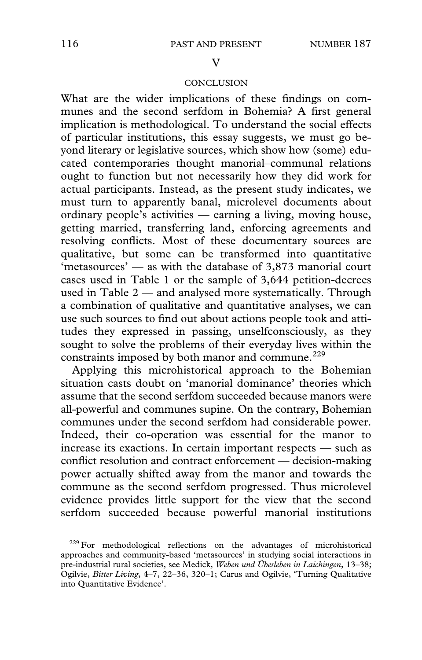#### $\overline{V}$

# **CONCLUSION**

What are the wider implications of these findings on communes and the second serfdom in Bohemia? A first general implication is methodological. To understand the social effects of particular institutions, this essay suggests, we must go beyond literary or legislative sources, which show how (some) educated contemporaries thought manorial–communal relations ought to function but not necessarily how they did work for actual participants. Instead, as the present study indicates, we must turn to apparently banal, microlevel documents about ordinary people's activities — earning a living, moving house, getting married, transferring land, enforcing agreements and resolving conflicts. Most of these documentary sources are qualitative, but some can be transformed into quantitative 'metasources' — as with the database of 3,873 manorial court cases used in Table 1 or the sample of 3,644 petition-decrees used in Table 2 — and analysed more systematically. Through a combination of qualitative and quantitative analyses, we can use such sources to find out about actions people took and attitudes they expressed in passing, unselfconsciously, as they sought to solve the problems of their everyday lives within the constraints imposed by both manor and commune.<sup>229</sup>

Applying this microhistorical approach to the Bohemian situation casts doubt on 'manorial dominance' theories which assume that the second serfdom succeeded because manors were all-powerful and communes supine. On the contrary, Bohemian communes under the second serfdom had considerable power. Indeed, their co-operation was essential for the manor to increase its exactions. In certain important respects — such as conflict resolution and contract enforcement — decision-making power actually shifted away from the manor and towards the commune as the second serfdom progressed. Thus microlevel evidence provides little support for the view that the second serfdom succeeded because powerful manorial institutions

 $229$  For methodological reflections on the advantages of microhistorical approaches and community-based 'metasources' in studying social interactions in pre-industrial rural societies, see Medick, *Weben und Überleben in Laichingen*, 13–38; Ogilvie, *Bitter Living*, 4–7, 22–36, 320–1; Carus and Ogilvie, 'Turning Qualitative into Quantitative Evidence'.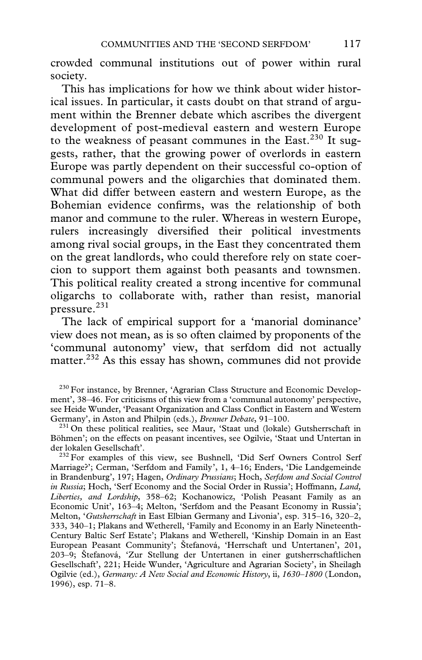crowded communal institutions out of power within rural society.

This has implications for how we think about wider historical issues. In particular, it casts doubt on that strand of argument within the Brenner debate which ascribes the divergent development of post-medieval eastern and western Europe to the weakness of peasant communes in the East. $230$  It suggests, rather, that the growing power of overlords in eastern Europe was partly dependent on their successful co-option of communal powers and the oligarchies that dominated them. What did differ between eastern and western Europe, as the Bohemian evidence confirms, was the relationship of both manor and commune to the ruler. Whereas in western Europe, rulers increasingly diversified their political investments among rival social groups, in the East they concentrated them on the great landlords, who could therefore rely on state coercion to support them against both peasants and townsmen. This political reality created a strong incentive for communal oligarchs to collaborate with, rather than resist, manorial pressure.<sup>231</sup>

The lack of empirical support for a 'manorial dominance' view does not mean, as is so often claimed by proponents of the 'communal autonomy' view, that serfdom did not actually matter.<sup>232</sup> As this essay has shown, communes did not provide

<sup>230</sup> For instance, by Brenner, 'Agrarian Class Structure and Economic Development', 38–46. For criticisms of this view from a 'communal autonomy' perspective, see Heide Wunder, 'Peasant Organization and Class Conflict in Eastern and Western Germany', in Aston and Philpin (eds.), *Brenner Debate*, 91-100.

<sup>231</sup> On these political realities, see Maur, 'Staat und (lokale) Gutsherrschaft in Böhmen'; on the effects on peasant incentives, see Ogilvie, 'Staat und Untertan in

<sup>232</sup> For examples of this view, see Bushnell, 'Did Serf Owners Control Serf Marriage?'; Cerman, 'Serfdom and Family', 1, 4–16; Enders, 'Die Landgemeinde in Brandenburg', 197; Hagen, *Ordinary Prussians*; Hoch, *Serfdom and Social Control in Russia*; Hoch, 'Serf Economy and the Social Order in Russia'; Hoffmann, *Land, Liberties, and Lordship*, 358–62; Kochanowicz, 'Polish Peasant Family as an Economic Unit', 163–4; Melton, 'Serfdom and the Peasant Economy in Russia'; Melton, '*Gutsherrschaft* in East Elbian Germany and Livonia', esp. 315–16, 320–2, 333, 340–1; Plakans and Wetherell, 'Family and Economy in an Early Nineteenth-Century Baltic Serf Estate'; Plakans and Wetherell, 'Kinship Domain in an East European Peasant Community'; Štefanová, 'Herrschaft und Untertanen', 201, 203–9; Štefanová, 'Zur Stellung der Untertanen in einer gutsherrschaftlichen Gesellschaft', 221; Heide Wunder, 'Agriculture and Agrarian Society', in Sheilagh Ogilvie (ed.), *Germany: A New Social and Economic History*, ii, *1630–1800* (London, 1996), esp. 71–8.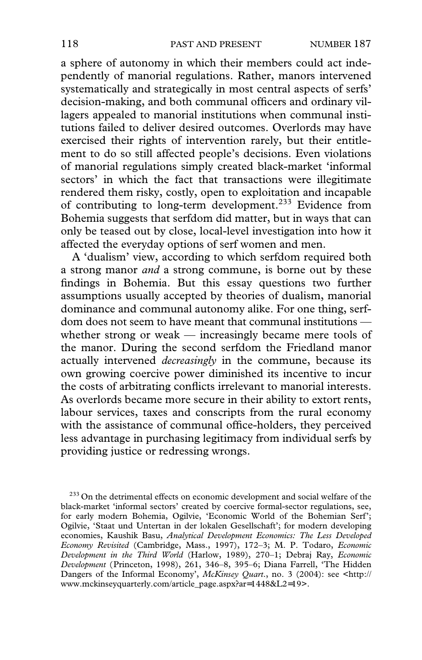a sphere of autonomy in which their members could act independently of manorial regulations. Rather, manors intervened systematically and strategically in most central aspects of serfs' decision-making, and both communal officers and ordinary villagers appealed to manorial institutions when communal institutions failed to deliver desired outcomes. Overlords may have exercised their rights of intervention rarely, but their entitlement to do so still affected people's decisions. Even violations of manorial regulations simply created black-market 'informal sectors' in which the fact that transactions were illegitimate rendered them risky, costly, open to exploitation and incapable of contributing to long-term development.233 Evidence from Bohemia suggests that serfdom did matter, but in ways that can only be teased out by close, local-level investigation into how it affected the everyday options of serf women and men.

A 'dualism' view, according to which serfdom required both a strong manor *and* a strong commune, is borne out by these findings in Bohemia. But this essay questions two further assumptions usually accepted by theories of dualism, manorial dominance and communal autonomy alike. For one thing, serfdom does not seem to have meant that communal institutions whether strong or weak — increasingly became mere tools of the manor. During the second serfdom the Friedland manor actually intervened *decreasingly* in the commune, because its own growing coercive power diminished its incentive to incur the costs of arbitrating conflicts irrelevant to manorial interests. As overlords became more secure in their ability to extort rents, labour services, taxes and conscripts from the rural economy with the assistance of communal office-holders, they perceived less advantage in purchasing legitimacy from individual serfs by providing justice or redressing wrongs.

 $233$  On the detrimental effects on economic development and social welfare of the black-market 'informal sectors' created by coercive formal-sector regulations, see, for early modern Bohemia, Ogilvie, 'Economic World of the Bohemian Serf'; Ogilvie, 'Staat und Untertan in der lokalen Gesellschaft'; for modern developing economies, Kaushik Basu, *Analytical Development Economics: The Less Developed Economy Revisited* (Cambridge, Mass., 1997), 172–3; M. P. Todaro, *Economic Development in the Third World* (Harlow, 1989), 270–1; Debraj Ray, *Economic Development* (Princeton, 1998), 261, 346–8, 395–6; Diana Farrell, 'The Hidden Dangers of the Informal Economy', *McKinsey Quart*., no. 3 (2004): see <http:// [www.mckinseyquarterly.com/article\\_page.aspx?ar](http://www.mckinseyquarterly.com/article_page.aspx?ar=1448&L2=19)=1448&L2=19>.